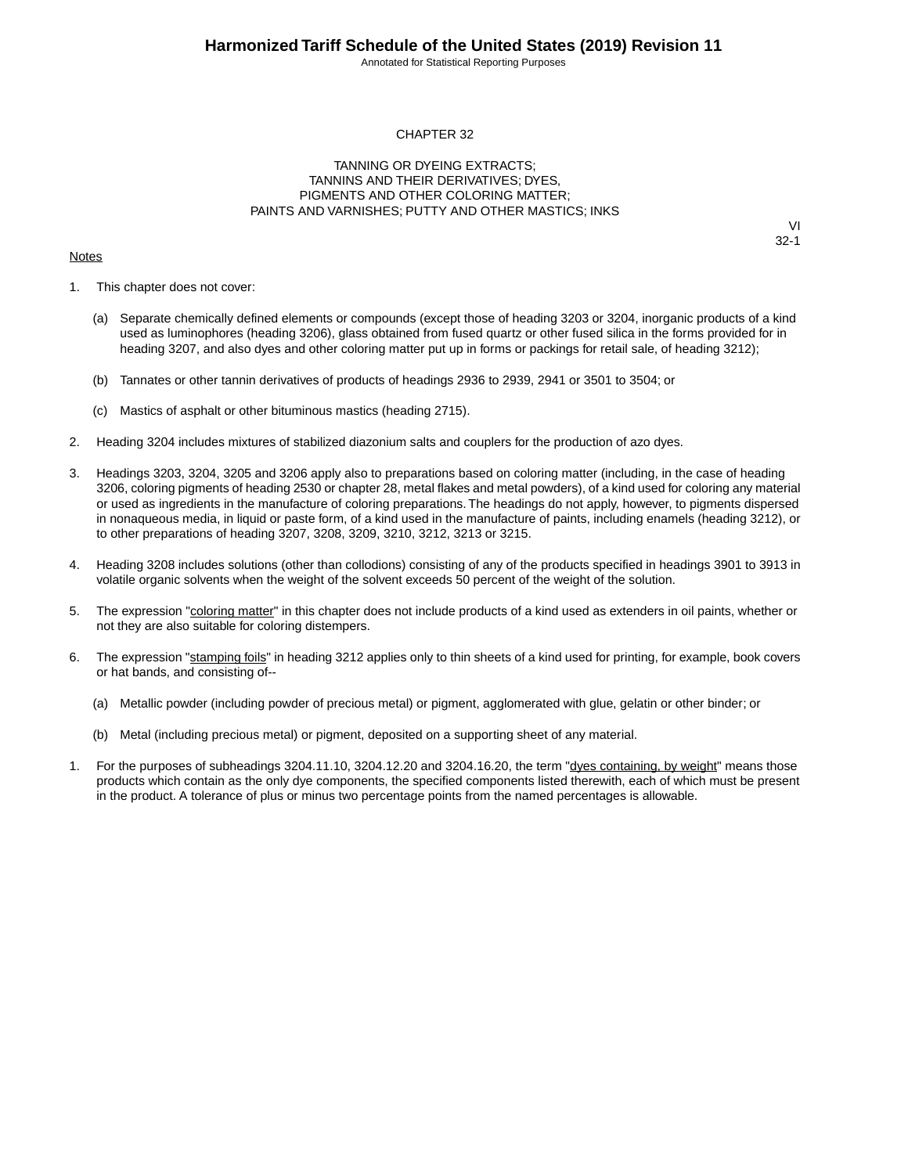Annotated for Statistical Reporting Purposes

#### CHAPTER 32

#### TANNING OR DYEING EXTRACTS; TANNINS AND THEIR DERIVATIVES; DYES, PIGMENTS AND OTHER COLORING MATTER; PAINTS AND VARNISHES; PUTTY AND OTHER MASTICS; INKS

#### **Notes**

- 1. This chapter does not cover:
	- (a) Separate chemically defined elements or compounds (except those of heading 3203 or 3204, inorganic products of a kind used as luminophores (heading 3206), glass obtained from fused quartz or other fused silica in the forms provided for in heading 3207, and also dyes and other coloring matter put up in forms or packings for retail sale, of heading 3212);
	- (b) Tannates or other tannin derivatives of products of headings 2936 to 2939, 2941 or 3501 to 3504; or
	- (c) Mastics of asphalt or other bituminous mastics (heading 2715).
- 2. Heading 3204 includes mixtures of stabilized diazonium salts and couplers for the production of azo dyes.
- 3. Headings 3203, 3204, 3205 and 3206 apply also to preparations based on coloring matter (including, in the case of heading 3206, coloring pigments of heading 2530 or chapter 28, metal flakes and metal powders), of a kind used for coloring any material or used as ingredients in the manufacture of coloring preparations. The headings do not apply, however, to pigments dispersed in nonaqueous media, in liquid or paste form, of a kind used in the manufacture of paints, including enamels (heading 3212), or to other preparations of heading 3207, 3208, 3209, 3210, 3212, 3213 or 3215.
- 4. Heading 3208 includes solutions (other than collodions) consisting of any of the products specified in headings 3901 to 3913 in volatile organic solvents when the weight of the solvent exceeds 50 percent of the weight of the solution.
- 5. The expression "coloring matter" in this chapter does not include products of a kind used as extenders in oil paints, whether or not they are also suitable for coloring distempers.
- 6. The expression "stamping foils" in heading 3212 applies only to thin sheets of a kind used for printing, for example, book covers or hat bands, and consisting of--
	- (a) Metallic powder (including powder of precious metal) or pigment, agglomerated with glue, gelatin or other binder; or
	- (b) Metal (including precious metal) or pigment, deposited on a supporting sheet of any material.
- 1. For the purposes of subheadings 3204.11.10, 3204.12.20 and 3204.16.20, the term "dyes containing, by weight" means those products which contain as the only dye components, the specified components listed therewith, each of which must be present in the product. A tolerance of plus or minus two percentage points from the named percentages is allowable.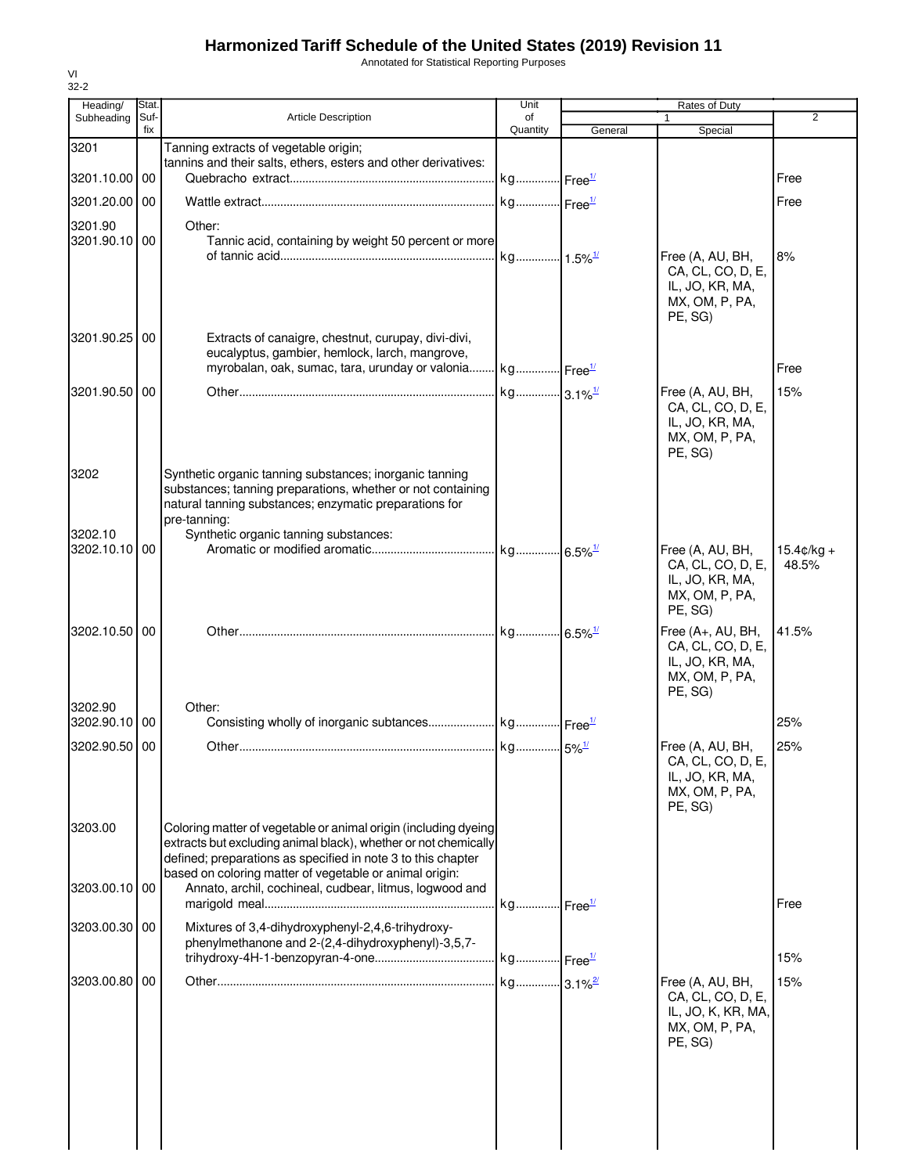Annotated for Statistical Reporting Purposes

| Heading/              | Stat.       |                                                                                                                                    | Unit                  |         | Rates of Duty                         |                      |
|-----------------------|-------------|------------------------------------------------------------------------------------------------------------------------------------|-----------------------|---------|---------------------------------------|----------------------|
| Subheading            | Suf-<br>fix | Article Description                                                                                                                | of<br>Quantity        | General | Special                               | $\overline{2}$       |
| 3201                  |             | Tanning extracts of vegetable origin;                                                                                              |                       |         |                                       |                      |
|                       |             | tannins and their salts, ethers, esters and other derivatives:                                                                     |                       |         |                                       |                      |
| 3201.10.00 00         |             |                                                                                                                                    | kg Free <sup>1/</sup> |         |                                       | Free                 |
| 3201.20.00 00         |             |                                                                                                                                    | kg Free <sup>1/</sup> |         |                                       | Free                 |
| 3201.90               |             | Other:                                                                                                                             |                       |         |                                       |                      |
| 3201.90.10 00         |             | Tannic acid, containing by weight 50 percent or more                                                                               |                       |         |                                       |                      |
|                       |             |                                                                                                                                    | kg 1.5% <sup>1/</sup> |         | Free (A, AU, BH,<br>CA, CL, CO, D, E, | 8%                   |
|                       |             |                                                                                                                                    |                       |         | IL, JO, KR, MA,                       |                      |
|                       |             |                                                                                                                                    |                       |         | MX, OM, P, PA,                        |                      |
|                       |             |                                                                                                                                    |                       |         | PE, SG)                               |                      |
| 3201.90.25 00         |             | Extracts of canaigre, chestnut, curupay, divi-divi,<br>eucalyptus, gambier, hemlock, larch, mangrove,                              |                       |         |                                       |                      |
|                       |             | myrobalan, oak, sumac, tara, urunday or valonia kg Free <sup>1/</sup>                                                              |                       |         |                                       | Free                 |
| 3201.90.50 00         |             |                                                                                                                                    |                       |         | Free (A, AU, BH,                      | 15%                  |
|                       |             |                                                                                                                                    |                       |         | CA, CL, CO, D, E,                     |                      |
|                       |             |                                                                                                                                    |                       |         | IL, JO, KR, MA,<br>MX, OM, P, PA,     |                      |
|                       |             |                                                                                                                                    |                       |         | PE, SG)                               |                      |
| 3202                  |             | Synthetic organic tanning substances; inorganic tanning                                                                            |                       |         |                                       |                      |
|                       |             | substances; tanning preparations, whether or not containing                                                                        |                       |         |                                       |                      |
|                       |             | natural tanning substances; enzymatic preparations for                                                                             |                       |         |                                       |                      |
| 3202.10               |             | pre-tanning:<br>Synthetic organic tanning substances:                                                                              |                       |         |                                       |                      |
| 3202.10.10 00         |             |                                                                                                                                    |                       |         | Free (A, AU, BH,                      | $15.4 \text{c/kg} +$ |
|                       |             |                                                                                                                                    |                       |         | CA, CL, CO, D, E,<br>IL, JO, KR, MA,  | 48.5%                |
|                       |             |                                                                                                                                    |                       |         | MX, OM, P, PA,                        |                      |
|                       |             |                                                                                                                                    |                       |         | PE, SG)                               |                      |
| 3202.10.50 00         |             |                                                                                                                                    |                       |         | Free $(A+, AU, BH,$                   | 41.5%                |
|                       |             |                                                                                                                                    |                       |         | CA, CL, CO, D, E,<br>IL, JO, KR, MA,  |                      |
|                       |             |                                                                                                                                    |                       |         | MX, OM, P, PA,                        |                      |
|                       |             |                                                                                                                                    |                       |         | PE, SG)                               |                      |
| 3202.90<br>3202.90.10 | 00          | Other:                                                                                                                             |                       |         |                                       | 25%                  |
|                       |             |                                                                                                                                    |                       |         |                                       |                      |
| 3202.90.50 00         |             |                                                                                                                                    |                       |         | Free (A, AU, BH,<br>CA, CL, CO, D, E, | 25%                  |
|                       |             |                                                                                                                                    |                       |         | IL, JO, KR, MA,                       |                      |
|                       |             |                                                                                                                                    |                       |         | MX, OM, P, PA,                        |                      |
|                       |             |                                                                                                                                    |                       |         | PE, SG)                               |                      |
| 3203.00               |             | Coloring matter of vegetable or animal origin (including dyeing<br>extracts but excluding animal black), whether or not chemically |                       |         |                                       |                      |
|                       |             | defined; preparations as specified in note 3 to this chapter                                                                       |                       |         |                                       |                      |
| 3203.00.10 00         |             | based on coloring matter of vegetable or animal origin:<br>Annato, archil, cochineal, cudbear, litmus, logwood and                 |                       |         |                                       |                      |
|                       |             |                                                                                                                                    |                       |         |                                       | Free                 |
| 3203.00.30 00         |             | Mixtures of 3,4-dihydroxyphenyl-2,4,6-trihydroxy-                                                                                  |                       |         |                                       |                      |
|                       |             | phenylmethanone and 2-(2,4-dihydroxyphenyl)-3,5,7-                                                                                 |                       |         |                                       |                      |
|                       |             |                                                                                                                                    |                       |         |                                       | 15%                  |
| 3203.00.80 00         |             |                                                                                                                                    |                       |         | Free (A, AU, BH,                      | 15%                  |
|                       |             |                                                                                                                                    |                       |         | CA, CL, CO, D, E,                     |                      |
|                       |             |                                                                                                                                    |                       |         | IL, JO, K, KR, MA,<br>MX, OM, P, PA,  |                      |
|                       |             |                                                                                                                                    |                       |         | PE, SG)                               |                      |
|                       |             |                                                                                                                                    |                       |         |                                       |                      |
|                       |             |                                                                                                                                    |                       |         |                                       |                      |
|                       |             |                                                                                                                                    |                       |         |                                       |                      |
|                       |             |                                                                                                                                    |                       |         |                                       |                      |
|                       |             |                                                                                                                                    |                       |         |                                       |                      |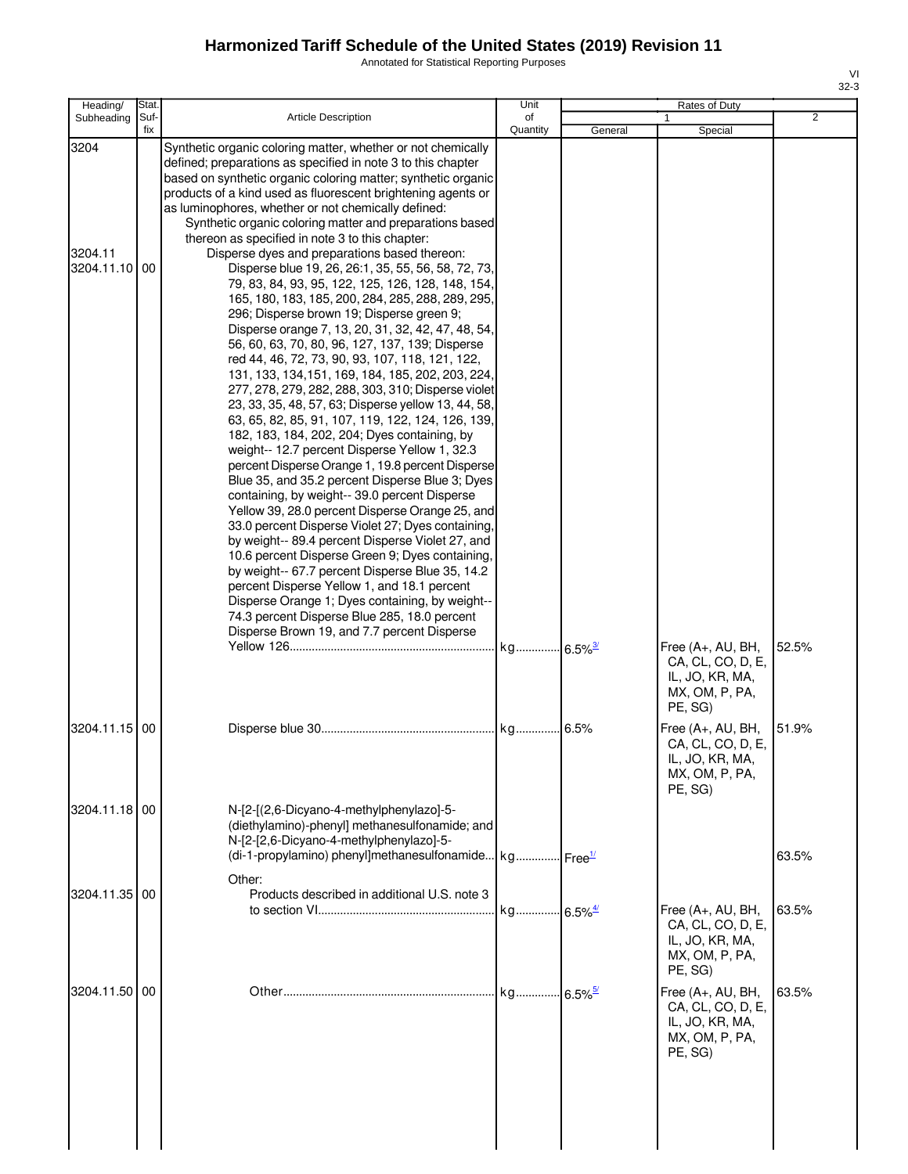Annotated for Statistical Reporting Purposes

| Heading/                         | Stat.       |                                                                                                                                                                                                                                                                                                                                                                                                                                                                                                                                                                                                                                                                                                                                                                                                                                                                                                                                                                                                                                                                                                                                                                                                                                                                                                                                                                                                                                                                                                                                                                                                                                                                                                                                                                                                                   | Unit           |         | Rates of Duty                                                                                     |                |
|----------------------------------|-------------|-------------------------------------------------------------------------------------------------------------------------------------------------------------------------------------------------------------------------------------------------------------------------------------------------------------------------------------------------------------------------------------------------------------------------------------------------------------------------------------------------------------------------------------------------------------------------------------------------------------------------------------------------------------------------------------------------------------------------------------------------------------------------------------------------------------------------------------------------------------------------------------------------------------------------------------------------------------------------------------------------------------------------------------------------------------------------------------------------------------------------------------------------------------------------------------------------------------------------------------------------------------------------------------------------------------------------------------------------------------------------------------------------------------------------------------------------------------------------------------------------------------------------------------------------------------------------------------------------------------------------------------------------------------------------------------------------------------------------------------------------------------------------------------------------------------------|----------------|---------|---------------------------------------------------------------------------------------------------|----------------|
| Subheading                       | Suf-<br>fix | <b>Article Description</b>                                                                                                                                                                                                                                                                                                                                                                                                                                                                                                                                                                                                                                                                                                                                                                                                                                                                                                                                                                                                                                                                                                                                                                                                                                                                                                                                                                                                                                                                                                                                                                                                                                                                                                                                                                                        | of<br>Quantity | General | Special                                                                                           | $\overline{2}$ |
| 3204<br>3204.11<br>3204.11.10 00 |             | Synthetic organic coloring matter, whether or not chemically<br>defined; preparations as specified in note 3 to this chapter<br>based on synthetic organic coloring matter; synthetic organic<br>products of a kind used as fluorescent brightening agents or<br>as luminophores, whether or not chemically defined:<br>Synthetic organic coloring matter and preparations based<br>thereon as specified in note 3 to this chapter:<br>Disperse dyes and preparations based thereon:<br>Disperse blue 19, 26, 26:1, 35, 55, 56, 58, 72, 73,<br>79, 83, 84, 93, 95, 122, 125, 126, 128, 148, 154,<br>165, 180, 183, 185, 200, 284, 285, 288, 289, 295,<br>296; Disperse brown 19; Disperse green 9;<br>Disperse orange 7, 13, 20, 31, 32, 42, 47, 48, 54,<br>56, 60, 63, 70, 80, 96, 127, 137, 139; Disperse<br>red 44, 46, 72, 73, 90, 93, 107, 118, 121, 122,<br>131, 133, 134, 151, 169, 184, 185, 202, 203, 224,<br>277, 278, 279, 282, 288, 303, 310; Disperse violet<br>23, 33, 35, 48, 57, 63; Disperse yellow 13, 44, 58,<br>63, 65, 82, 85, 91, 107, 119, 122, 124, 126, 139,<br>182, 183, 184, 202, 204; Dyes containing, by<br>weight-- 12.7 percent Disperse Yellow 1, 32.3<br>percent Disperse Orange 1, 19.8 percent Disperse<br>Blue 35, and 35.2 percent Disperse Blue 3; Dyes<br>containing, by weight-- 39.0 percent Disperse<br>Yellow 39, 28.0 percent Disperse Orange 25, and<br>33.0 percent Disperse Violet 27; Dyes containing,<br>by weight-- 89.4 percent Disperse Violet 27, and<br>10.6 percent Disperse Green 9; Dyes containing,<br>by weight-- 67.7 percent Disperse Blue 35, 14.2<br>percent Disperse Yellow 1, and 18.1 percent<br>Disperse Orange 1; Dyes containing, by weight--<br>74.3 percent Disperse Blue 285, 18.0 percent<br>Disperse Brown 19, and 7.7 percent Disperse |                |         | Free (A+, AU, BH,<br>CA, CL, CO, D, E,<br>IL, JO, KR, MA,<br>MX, OM, P, PA,                       | 52.5%          |
| 3204.11.15 00                    |             |                                                                                                                                                                                                                                                                                                                                                                                                                                                                                                                                                                                                                                                                                                                                                                                                                                                                                                                                                                                                                                                                                                                                                                                                                                                                                                                                                                                                                                                                                                                                                                                                                                                                                                                                                                                                                   |                | 6.5%    | PE, SG)<br>Free (A+, AU, BH,<br>CA, CL, CO, D, E,<br>IL, JO, KR, MA,<br>MX, OM, P, PA,<br>PE, SG) | 51.9%          |
| 3204.11.18 00                    |             | N-[2-[(2,6-Dicyano-4-methylphenylazo]-5-<br>(diethylamino)-phenyl] methanesulfonamide; and<br>N-[2-[2,6-Dicyano-4-methylphenylazo]-5-<br>(di-1-propylamino) phenyl]methanesulfonamide kg Free <sup>1/</sup>                                                                                                                                                                                                                                                                                                                                                                                                                                                                                                                                                                                                                                                                                                                                                                                                                                                                                                                                                                                                                                                                                                                                                                                                                                                                                                                                                                                                                                                                                                                                                                                                       |                |         |                                                                                                   | 63.5%          |
| 3204.11.35 00                    |             | Other:<br>Products described in additional U.S. note 3                                                                                                                                                                                                                                                                                                                                                                                                                                                                                                                                                                                                                                                                                                                                                                                                                                                                                                                                                                                                                                                                                                                                                                                                                                                                                                                                                                                                                                                                                                                                                                                                                                                                                                                                                            |                |         | Free (A+, AU, BH,<br>CA, CL, CO, D, E,<br>IL, JO, KR, MA,<br>MX, OM, P, PA,<br>PE, SG)            | 63.5%          |
| 3204.11.50 00                    |             |                                                                                                                                                                                                                                                                                                                                                                                                                                                                                                                                                                                                                                                                                                                                                                                                                                                                                                                                                                                                                                                                                                                                                                                                                                                                                                                                                                                                                                                                                                                                                                                                                                                                                                                                                                                                                   |                |         | Free (A+, AU, BH,<br>CA, CL, CO, D, E,<br>IL, JO, KR, MA,<br>MX, OM, P, PA,<br>PE, SG)            | 63.5%          |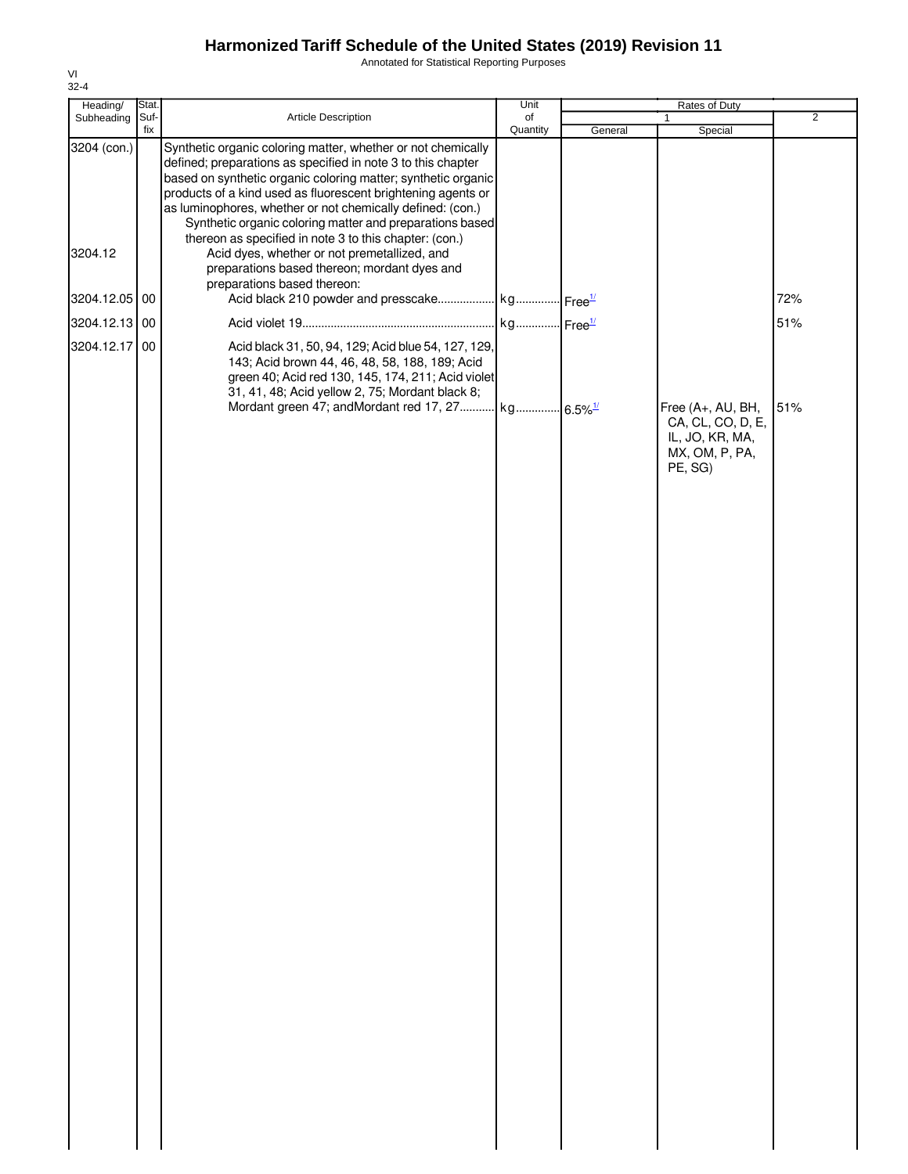Annotated for Statistical Reporting Purposes

| Heading/      | Stat. |                                                                                                                                                                                                                                                                                                                                                                                         | Unit     |         | Rates of Duty                                                                          |                |
|---------------|-------|-----------------------------------------------------------------------------------------------------------------------------------------------------------------------------------------------------------------------------------------------------------------------------------------------------------------------------------------------------------------------------------------|----------|---------|----------------------------------------------------------------------------------------|----------------|
| Subheading    | Suf-  | Article Description                                                                                                                                                                                                                                                                                                                                                                     | of       |         | 1                                                                                      | $\overline{2}$ |
| 3204 (con.)   | fix   | Synthetic organic coloring matter, whether or not chemically<br>defined; preparations as specified in note 3 to this chapter<br>based on synthetic organic coloring matter; synthetic organic<br>products of a kind used as fluorescent brightening agents or<br>as luminophores, whether or not chemically defined: (con.)<br>Synthetic organic coloring matter and preparations based | Quantity | General | Special                                                                                |                |
| 3204.12       |       | thereon as specified in note 3 to this chapter: (con.)<br>Acid dyes, whether or not premetallized, and<br>preparations based thereon; mordant dyes and<br>preparations based thereon:                                                                                                                                                                                                   |          |         |                                                                                        |                |
| 3204.12.05 00 |       |                                                                                                                                                                                                                                                                                                                                                                                         |          |         |                                                                                        | 72%            |
| 3204.12.13 00 |       |                                                                                                                                                                                                                                                                                                                                                                                         |          |         |                                                                                        | 51%            |
| 3204.12.17    | 00    | Acid black 31, 50, 94, 129; Acid blue 54, 127, 129,<br>143; Acid brown 44, 46, 48, 58, 188, 189; Acid<br>green 40; Acid red 130, 145, 174, 211; Acid violet<br>31, 41, 48; Acid yellow 2, 75; Mordant black 8;                                                                                                                                                                          |          |         |                                                                                        |                |
|               |       |                                                                                                                                                                                                                                                                                                                                                                                         |          |         | Free (A+, AU, BH,<br>CA, CL, CO, D, E,<br>IL, JO, KR, MA,<br>MX, OM, P, PA,<br>PE, SG) | 51%            |
|               |       |                                                                                                                                                                                                                                                                                                                                                                                         |          |         |                                                                                        |                |
|               |       |                                                                                                                                                                                                                                                                                                                                                                                         |          |         |                                                                                        |                |
|               |       |                                                                                                                                                                                                                                                                                                                                                                                         |          |         |                                                                                        |                |
|               |       |                                                                                                                                                                                                                                                                                                                                                                                         |          |         |                                                                                        |                |
|               |       |                                                                                                                                                                                                                                                                                                                                                                                         |          |         |                                                                                        |                |
|               |       |                                                                                                                                                                                                                                                                                                                                                                                         |          |         |                                                                                        |                |
|               |       |                                                                                                                                                                                                                                                                                                                                                                                         |          |         |                                                                                        |                |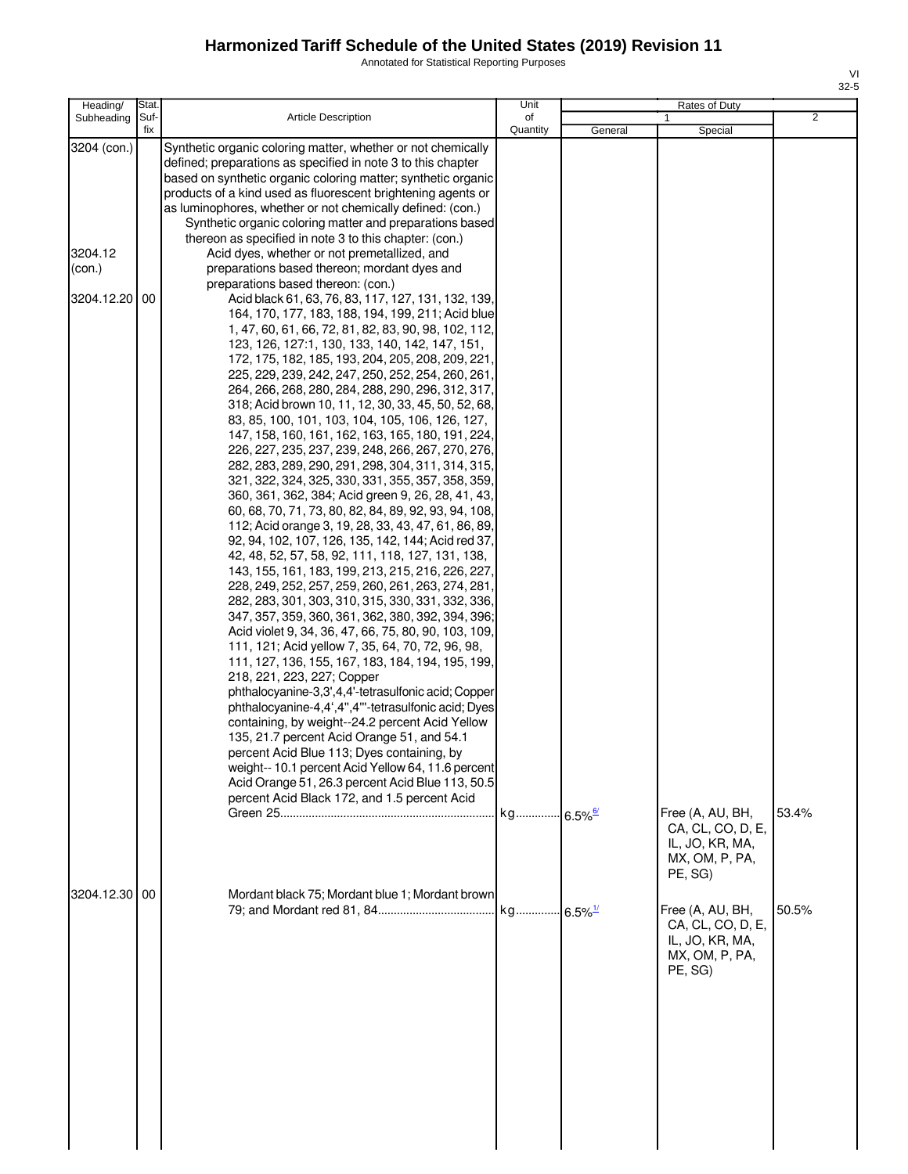Annotated for Statistical Reporting Purposes

| Heading/                                                           | Stat.       |                                                                                                                                                                                                                                                                                                                                                                                                                                                                                                                                                                                                                                                                                                                                                                                                                                                                                                                                                                                                                                                                                                                                                                                                                                                                                                                                                                                                                                                                                                                                                                                                                                                                                                                                                                                                                                                                                                                                                                                                                                                                                                                                                                                                                                                                                                                                                                                                                                                                                       | Unit           |         | Rates of Duty                                                                                                                                                                  |                |
|--------------------------------------------------------------------|-------------|---------------------------------------------------------------------------------------------------------------------------------------------------------------------------------------------------------------------------------------------------------------------------------------------------------------------------------------------------------------------------------------------------------------------------------------------------------------------------------------------------------------------------------------------------------------------------------------------------------------------------------------------------------------------------------------------------------------------------------------------------------------------------------------------------------------------------------------------------------------------------------------------------------------------------------------------------------------------------------------------------------------------------------------------------------------------------------------------------------------------------------------------------------------------------------------------------------------------------------------------------------------------------------------------------------------------------------------------------------------------------------------------------------------------------------------------------------------------------------------------------------------------------------------------------------------------------------------------------------------------------------------------------------------------------------------------------------------------------------------------------------------------------------------------------------------------------------------------------------------------------------------------------------------------------------------------------------------------------------------------------------------------------------------------------------------------------------------------------------------------------------------------------------------------------------------------------------------------------------------------------------------------------------------------------------------------------------------------------------------------------------------------------------------------------------------------------------------------------------------|----------------|---------|--------------------------------------------------------------------------------------------------------------------------------------------------------------------------------|----------------|
| Subheading                                                         | Suf-<br>fix | <b>Article Description</b>                                                                                                                                                                                                                                                                                                                                                                                                                                                                                                                                                                                                                                                                                                                                                                                                                                                                                                                                                                                                                                                                                                                                                                                                                                                                                                                                                                                                                                                                                                                                                                                                                                                                                                                                                                                                                                                                                                                                                                                                                                                                                                                                                                                                                                                                                                                                                                                                                                                            | of<br>Quantity | General | Special                                                                                                                                                                        | $\overline{2}$ |
| 3204 (con.)<br>3204.12<br>(con.)<br>3204.12.20 00<br>3204.12.30 00 |             | Synthetic organic coloring matter, whether or not chemically<br>defined; preparations as specified in note 3 to this chapter<br>based on synthetic organic coloring matter; synthetic organic<br>products of a kind used as fluorescent brightening agents or<br>as luminophores, whether or not chemically defined: (con.)<br>Synthetic organic coloring matter and preparations based<br>thereon as specified in note 3 to this chapter: (con.)<br>Acid dyes, whether or not premetallized, and<br>preparations based thereon; mordant dyes and<br>preparations based thereon: (con.)<br>Acid black 61, 63, 76, 83, 117, 127, 131, 132, 139,<br>164, 170, 177, 183, 188, 194, 199, 211; Acid blue<br>1, 47, 60, 61, 66, 72, 81, 82, 83, 90, 98, 102, 112,<br>123, 126, 127:1, 130, 133, 140, 142, 147, 151,<br>172, 175, 182, 185, 193, 204, 205, 208, 209, 221,<br>225, 229, 239, 242, 247, 250, 252, 254, 260, 261,<br>264, 266, 268, 280, 284, 288, 290, 296, 312, 317,<br>318; Acid brown 10, 11, 12, 30, 33, 45, 50, 52, 68,<br>83, 85, 100, 101, 103, 104, 105, 106, 126, 127,<br>147, 158, 160, 161, 162, 163, 165, 180, 191, 224,<br>226, 227, 235, 237, 239, 248, 266, 267, 270, 276,<br>282, 283, 289, 290, 291, 298, 304, 311, 314, 315,<br>321, 322, 324, 325, 330, 331, 355, 357, 358, 359,<br>360, 361, 362, 384; Acid green 9, 26, 28, 41, 43,<br>60, 68, 70, 71, 73, 80, 82, 84, 89, 92, 93, 94, 108,<br>112; Acid orange 3, 19, 28, 33, 43, 47, 61, 86, 89,<br>92, 94, 102, 107, 126, 135, 142, 144; Acid red 37,<br>42, 48, 52, 57, 58, 92, 111, 118, 127, 131, 138,<br>143, 155, 161, 183, 199, 213, 215, 216, 226, 227,<br>228, 249, 252, 257, 259, 260, 261, 263, 274, 281,<br>282, 283, 301, 303, 310, 315, 330, 331, 332, 336,<br>347, 357, 359, 360, 361, 362, 380, 392, 394, 396;<br>Acid violet 9, 34, 36, 47, 66, 75, 80, 90, 103, 109,<br>111, 121; Acid yellow 7, 35, 64, 70, 72, 96, 98,<br>111, 127, 136, 155, 167, 183, 184, 194, 195, 199,<br>218, 221, 223, 227; Copper<br>phthalocyanine-3,3',4,4'-tetrasulfonic acid; Copper<br>phthalocyanine-4,4',4",4"'-tetrasulfonic acid; Dyes<br>containing, by weight--24.2 percent Acid Yellow<br>135, 21.7 percent Acid Orange 51, and 54.1<br>percent Acid Blue 113; Dyes containing, by<br>weight-- 10.1 percent Acid Yellow 64, 11.6 percent<br>Acid Orange 51, 26.3 percent Acid Blue 113, 50.5<br>percent Acid Black 172, and 1.5 percent Acid<br>Mordant black 75; Mordant blue 1; Mordant brown |                |         | Free (A, AU, BH,<br>CA, CL, CO, D, E,<br>IL, JO, KR, MA,<br>MX, OM, P, PA,<br>PE, SG)<br>Free (A, AU, BH,<br>CA, CL, CO, D, E,<br>IL, JO, KR, MA,<br>MX, OM, P, PA,<br>PE, SG) | 53.4%<br>50.5% |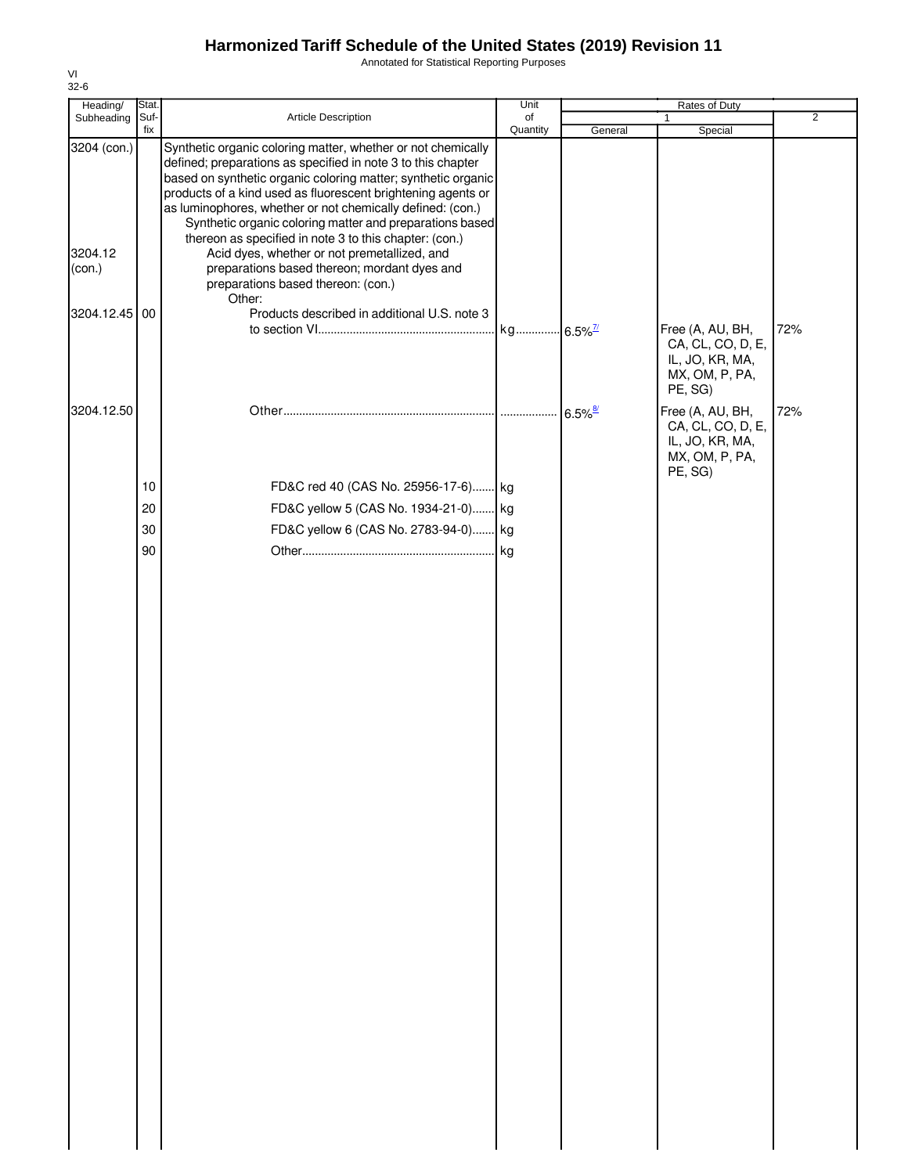Annotated for Statistical Reporting Purposes

| Heading/                         | Stat.       |                                                                                                                                                                                                                                                                                                                                                                                                                                                                                                                                                                                                   | Unit           |                       | Rates of Duty                                                                         |                |
|----------------------------------|-------------|---------------------------------------------------------------------------------------------------------------------------------------------------------------------------------------------------------------------------------------------------------------------------------------------------------------------------------------------------------------------------------------------------------------------------------------------------------------------------------------------------------------------------------------------------------------------------------------------------|----------------|-----------------------|---------------------------------------------------------------------------------------|----------------|
| Subheading                       | Suf-<br>fix | Article Description                                                                                                                                                                                                                                                                                                                                                                                                                                                                                                                                                                               | of<br>Quantity | General               | 1<br>Special                                                                          | $\overline{2}$ |
| 3204 (con.)<br>3204.12<br>(con.) |             | Synthetic organic coloring matter, whether or not chemically<br>defined; preparations as specified in note 3 to this chapter<br>based on synthetic organic coloring matter; synthetic organic<br>products of a kind used as fluorescent brightening agents or<br>as luminophores, whether or not chemically defined: (con.)<br>Synthetic organic coloring matter and preparations based<br>thereon as specified in note 3 to this chapter: (con.)<br>Acid dyes, whether or not premetallized, and<br>preparations based thereon; mordant dyes and<br>preparations based thereon: (con.)<br>Other: |                |                       |                                                                                       |                |
| 3204.12.45                       | 00          | Products described in additional U.S. note 3                                                                                                                                                                                                                                                                                                                                                                                                                                                                                                                                                      |                |                       | Free (A, AU, BH,<br>CA, CL, CO, D, E,<br>IL, JO, KR, MA,<br>MX, OM, P, PA,<br>PE, SG) | 72%            |
| 3204.12.50                       |             |                                                                                                                                                                                                                                                                                                                                                                                                                                                                                                                                                                                                   |                | $6.5\%$ <sup>8/</sup> | Free (A, AU, BH,<br>CA, CL, CO, D, E,<br>IL, JO, KR, MA,<br>MX, OM, P, PA,<br>PE, SG) | 72%            |
|                                  | $10$        | FD&C red 40 (CAS No. 25956-17-6) kg                                                                                                                                                                                                                                                                                                                                                                                                                                                                                                                                                               |                |                       |                                                                                       |                |
|                                  | 20          | FD&C yellow 5 (CAS No. 1934-21-0) kg                                                                                                                                                                                                                                                                                                                                                                                                                                                                                                                                                              |                |                       |                                                                                       |                |
|                                  | 30          | FD&C yellow 6 (CAS No. 2783-94-0) kg                                                                                                                                                                                                                                                                                                                                                                                                                                                                                                                                                              |                |                       |                                                                                       |                |
|                                  | 90          |                                                                                                                                                                                                                                                                                                                                                                                                                                                                                                                                                                                                   |                |                       |                                                                                       |                |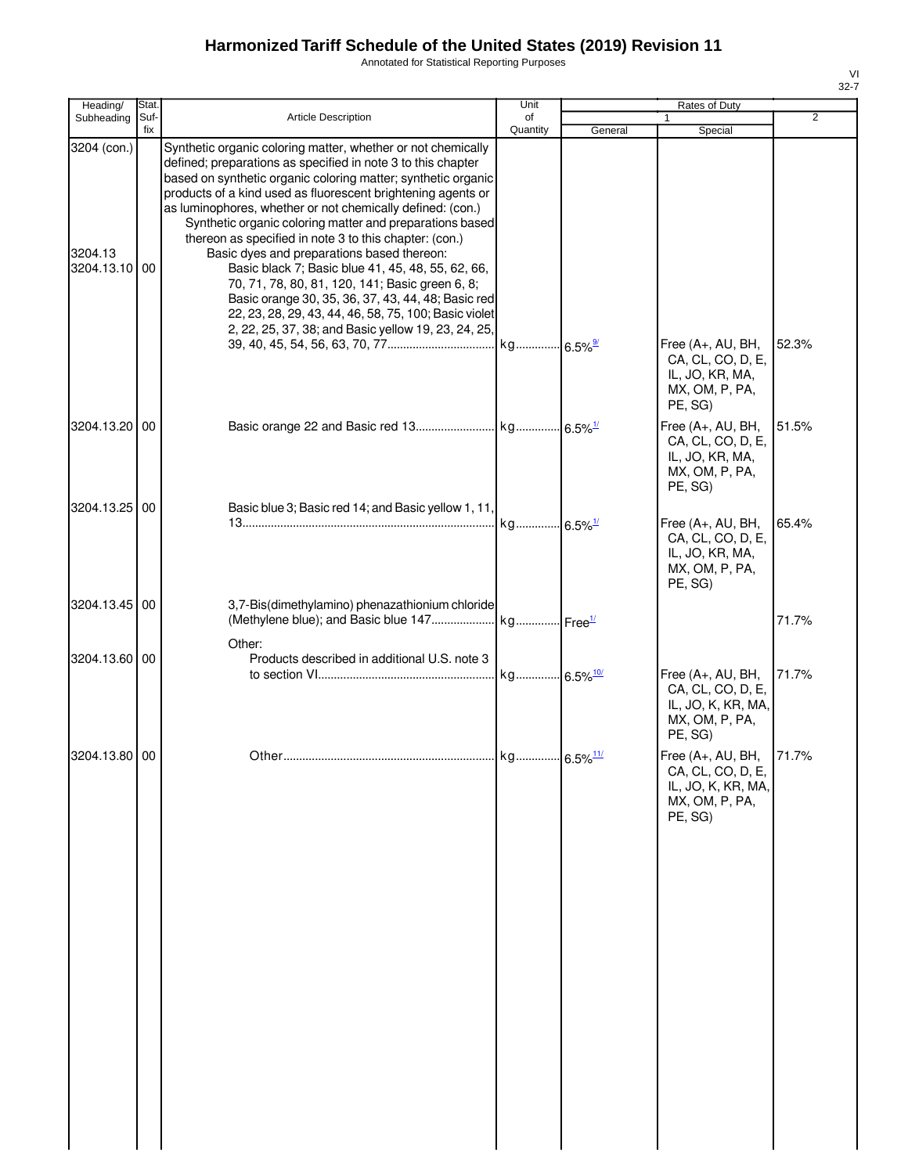Annotated for Statistical Reporting Purposes

| ۰, |  |
|----|--|

| Heading/                                | Stat.       |                                                                                                                                                                                                                                                                                                                                                                                                                                                                                                                                                                                                                                                                                                                                                                               | Unit           |         | Rates of Duty                                                                                        |                |
|-----------------------------------------|-------------|-------------------------------------------------------------------------------------------------------------------------------------------------------------------------------------------------------------------------------------------------------------------------------------------------------------------------------------------------------------------------------------------------------------------------------------------------------------------------------------------------------------------------------------------------------------------------------------------------------------------------------------------------------------------------------------------------------------------------------------------------------------------------------|----------------|---------|------------------------------------------------------------------------------------------------------|----------------|
| Subheading                              | Suf-<br>fix | <b>Article Description</b>                                                                                                                                                                                                                                                                                                                                                                                                                                                                                                                                                                                                                                                                                                                                                    | of<br>Quantity | General | Special                                                                                              | $\overline{2}$ |
| 3204 (con.)<br>3204.13<br>3204.13.10 00 |             | Synthetic organic coloring matter, whether or not chemically<br>defined; preparations as specified in note 3 to this chapter<br>based on synthetic organic coloring matter; synthetic organic<br>products of a kind used as fluorescent brightening agents or<br>as luminophores, whether or not chemically defined: (con.)<br>Synthetic organic coloring matter and preparations based<br>thereon as specified in note 3 to this chapter: (con.)<br>Basic dyes and preparations based thereon:<br>Basic black 7; Basic blue 41, 45, 48, 55, 62, 66,<br>70, 71, 78, 80, 81, 120, 141; Basic green 6, 8;<br>Basic orange 30, 35, 36, 37, 43, 44, 48; Basic red<br>22, 23, 28, 29, 43, 44, 46, 58, 75, 100; Basic violet<br>2, 22, 25, 37, 38; and Basic yellow 19, 23, 24, 25, |                |         |                                                                                                      |                |
|                                         |             |                                                                                                                                                                                                                                                                                                                                                                                                                                                                                                                                                                                                                                                                                                                                                                               |                |         | Free (A+, AU, BH,<br>CA, CL, CO, D, E,<br>IL, JO, KR, MA,<br>MX, OM, P, PA,<br>PE, SG)               | 52.3%          |
| 3204.13.20 00                           |             |                                                                                                                                                                                                                                                                                                                                                                                                                                                                                                                                                                                                                                                                                                                                                                               |                |         | Free (A+, AU, BH,<br>CA, CL, CO, D, E,<br>IL, JO, KR, MA,<br>MX, OM, P, PA,<br>PE, SG)               | 51.5%          |
| 3204.13.25 00                           |             | Basic blue 3; Basic red 14; and Basic yellow 1, 11,                                                                                                                                                                                                                                                                                                                                                                                                                                                                                                                                                                                                                                                                                                                           |                |         | Free (A+, AU, BH,<br>CA, CL, CO, D, E,<br>IL, JO, KR, MA,<br>MX, OM, P, PA,<br>PE, SG)               | 65.4%          |
| 3204.13.45 00                           |             | 3,7-Bis(dimethylamino) phenazathionium chloride                                                                                                                                                                                                                                                                                                                                                                                                                                                                                                                                                                                                                                                                                                                               |                |         |                                                                                                      | 71.7%          |
| 3204.13.60 00                           |             | Other:<br>Products described in additional U.S. note 3                                                                                                                                                                                                                                                                                                                                                                                                                                                                                                                                                                                                                                                                                                                        |                |         | Free (A+, AU, BH,<br>CA, CL, CO, D, E,<br>IL, JO, K, KR, MA,<br>MX, OM, P, PA,                       | 71.7%          |
| 3204.13.80 00                           |             |                                                                                                                                                                                                                                                                                                                                                                                                                                                                                                                                                                                                                                                                                                                                                                               |                |         | PE, SG)<br>Free (A+, AU, BH,<br>CA, CL, CO, D, E,<br>IL, JO, K, KR, MA,<br>MX, OM, P, PA,<br>PE, SG) | 71.7%          |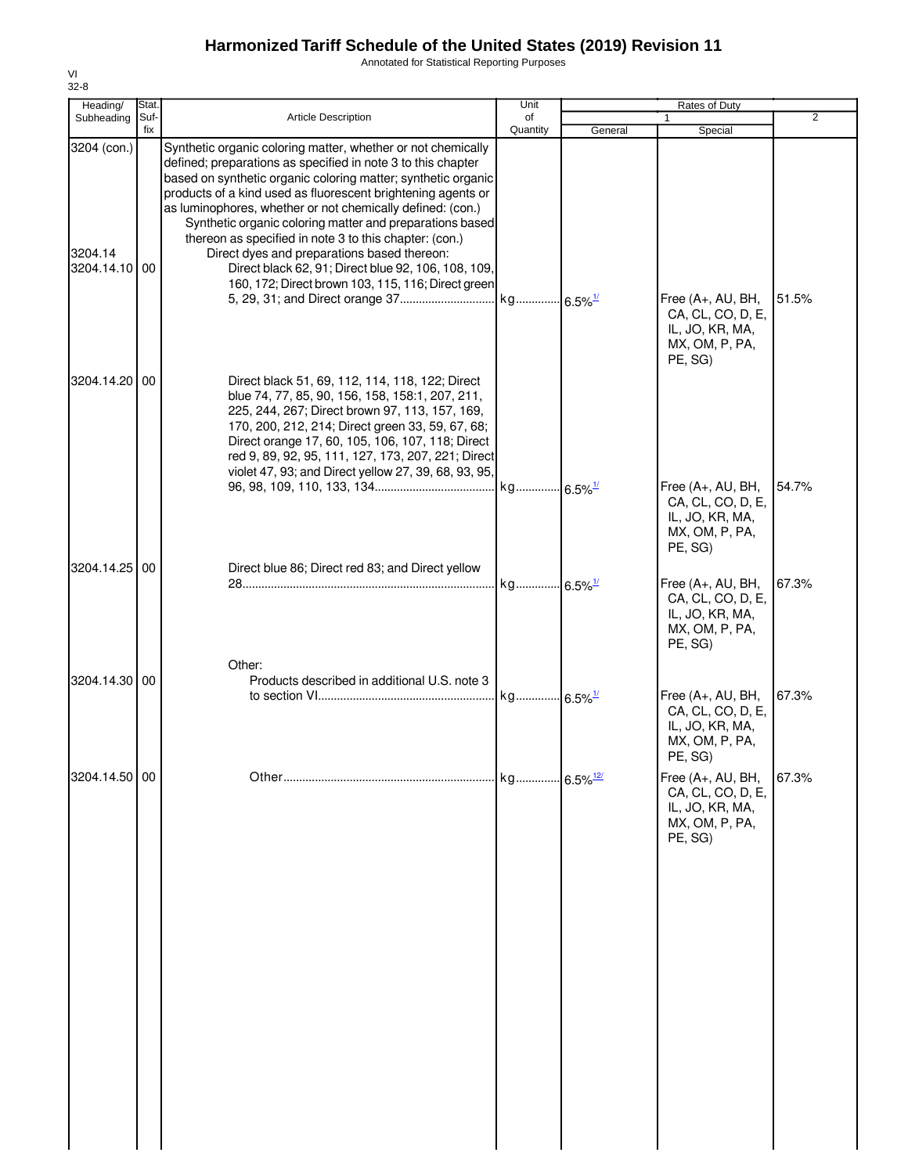Annotated for Statistical Reporting Purposes

| Heading/                                | Stat.       |                                                                                                                                                                                                                                                                                                                                                                                                                                                                                                                                                                                                               | Unit                   |         | Rates of Duty                                                                                                       |                |
|-----------------------------------------|-------------|---------------------------------------------------------------------------------------------------------------------------------------------------------------------------------------------------------------------------------------------------------------------------------------------------------------------------------------------------------------------------------------------------------------------------------------------------------------------------------------------------------------------------------------------------------------------------------------------------------------|------------------------|---------|---------------------------------------------------------------------------------------------------------------------|----------------|
| Subheading                              | Suf-<br>fix | <b>Article Description</b>                                                                                                                                                                                                                                                                                                                                                                                                                                                                                                                                                                                    | of<br>Quantity         | General | Special                                                                                                             | $\overline{2}$ |
| 3204 (con.)<br>3204.14<br>3204.14.10 00 |             | Synthetic organic coloring matter, whether or not chemically<br>defined; preparations as specified in note 3 to this chapter<br>based on synthetic organic coloring matter; synthetic organic<br>products of a kind used as fluorescent brightening agents or<br>as luminophores, whether or not chemically defined: (con.)<br>Synthetic organic coloring matter and preparations based<br>thereon as specified in note 3 to this chapter: (con.)<br>Direct dyes and preparations based thereon:<br>Direct black 62, 91; Direct blue 92, 106, 108, 109,<br>160, 172; Direct brown 103, 115, 116; Direct green |                        |         | Free (A+, AU, BH,<br>CA, CL, CO, D, E,<br>IL, JO, KR, MA,<br>MX, OM, P, PA,<br>PE, SG)                              | 51.5%          |
| 3204.14.20 00                           |             | Direct black 51, 69, 112, 114, 118, 122; Direct<br>blue 74, 77, 85, 90, 156, 158, 158:1, 207, 211,<br>225, 244, 267; Direct brown 97, 113, 157, 169,<br>170, 200, 212, 214; Direct green 33, 59, 67, 68;<br>Direct orange 17, 60, 105, 106, 107, 118; Direct<br>red 9, 89, 92, 95, 111, 127, 173, 207, 221; Direct<br>violet 47, 93; and Direct yellow 27, 39, 68, 93, 95,                                                                                                                                                                                                                                    |                        |         | Free (A+, AU, BH,<br>CA, CL, CO, D, E,<br>IL, JO, KR, MA,                                                           | 54.7%          |
| 3204.14.25 00                           |             | Direct blue 86; Direct red 83; and Direct yellow                                                                                                                                                                                                                                                                                                                                                                                                                                                                                                                                                              | kg 6.5% <sup>1/</sup>  |         | MX, OM, P, PA,<br>PE, SG)<br>Free (A+, AU, BH,<br>CA, CL, CO, D, E,<br>IL, JO, KR, MA,<br>MX, OM, P, PA,<br>PE, SG) | 67.3%          |
| 3204.14.30 00                           |             | Other:<br>Products described in additional U.S. note 3                                                                                                                                                                                                                                                                                                                                                                                                                                                                                                                                                        |                        |         | Free (A+, AU, BH,<br>CA, CL, CO, D, E,<br>IL, JO, KR, MA,<br>MX, OM, P, PA,                                         | 67.3%          |
| 3204.14.50 00                           |             |                                                                                                                                                                                                                                                                                                                                                                                                                                                                                                                                                                                                               | kg 6.5% <sup>12/</sup> |         | PE, SG)<br>Free (A+, AU, BH,<br>CA, CL, CO, D, E,<br>IL, JO, KR, MA,<br>MX, OM, P, PA,<br>PE, SG)                   | 67.3%          |
|                                         |             |                                                                                                                                                                                                                                                                                                                                                                                                                                                                                                                                                                                                               |                        |         |                                                                                                                     |                |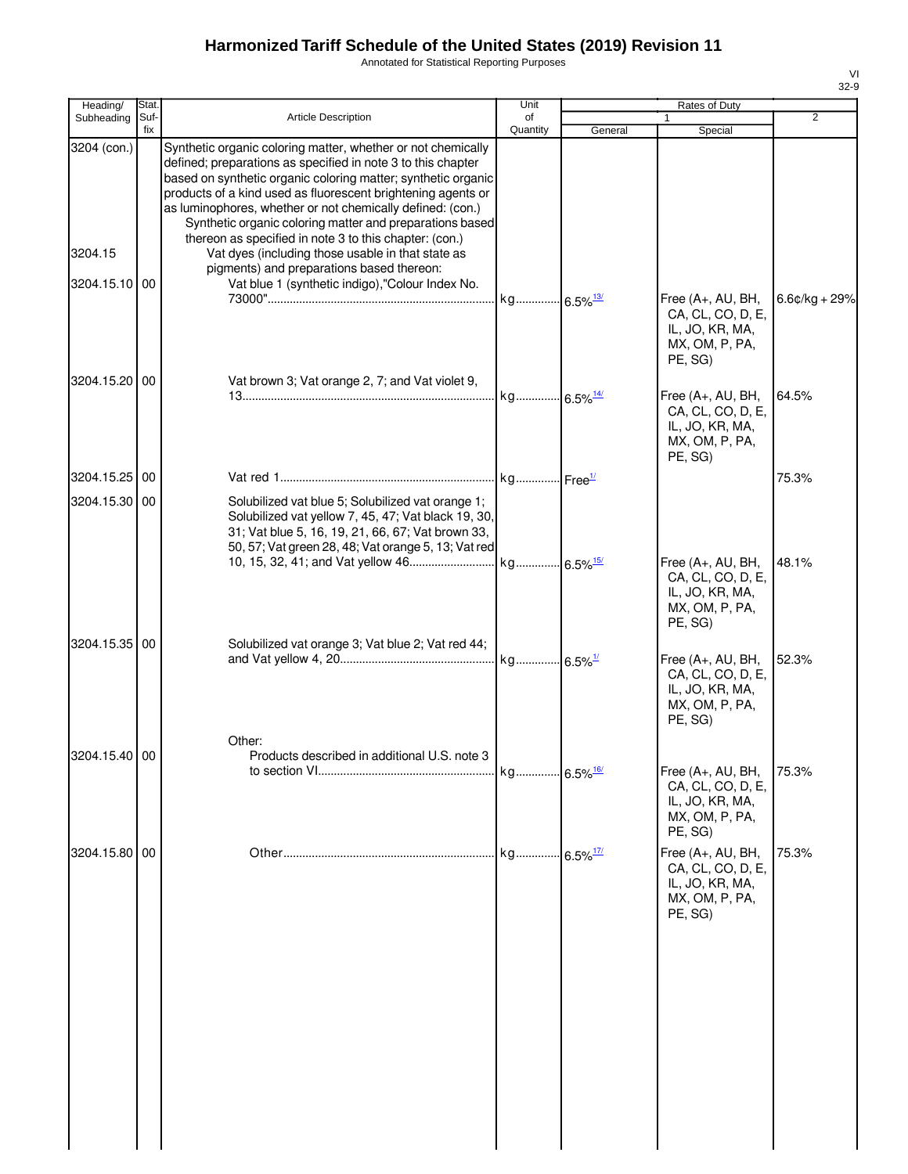Annotated for Statistical Reporting Purposes

| Heading/      | Stat.       |                                                                                                                                                                                                                                                                                                                                                                                         | Unit                   |         | Rates of Duty                                                                          |                 |
|---------------|-------------|-----------------------------------------------------------------------------------------------------------------------------------------------------------------------------------------------------------------------------------------------------------------------------------------------------------------------------------------------------------------------------------------|------------------------|---------|----------------------------------------------------------------------------------------|-----------------|
| Subheading    | Suf-<br>fix | Article Description                                                                                                                                                                                                                                                                                                                                                                     | of<br>Quantity         | General | 1<br>Special                                                                           | $\overline{2}$  |
| 3204 (con.)   |             | Synthetic organic coloring matter, whether or not chemically<br>defined; preparations as specified in note 3 to this chapter<br>based on synthetic organic coloring matter; synthetic organic<br>products of a kind used as fluorescent brightening agents or<br>as luminophores, whether or not chemically defined: (con.)<br>Synthetic organic coloring matter and preparations based |                        |         |                                                                                        |                 |
| 3204.15       |             | thereon as specified in note 3 to this chapter: (con.)<br>Vat dyes (including those usable in that state as<br>pigments) and preparations based thereon:                                                                                                                                                                                                                                |                        |         |                                                                                        |                 |
| 3204.15.10 00 |             | Vat blue 1 (synthetic indigo),"Colour Index No.                                                                                                                                                                                                                                                                                                                                         | kg 6.5% <sup>13/</sup> |         | Free (A+, AU, BH,<br>CA, CL, CO, D, E,<br>IL, JO, KR, MA,<br>MX, OM, P, PA,<br>PE, SG) | $6.6¢/kg + 29%$ |
| 3204.15.20 00 |             | Vat brown 3; Vat orange 2, 7; and Vat violet 9,                                                                                                                                                                                                                                                                                                                                         | kg 6.5% <sup>14/</sup> |         | Free (A+, AU, BH,<br>CA, CL, CO, D, E,<br>IL, JO, KR, MA,<br>MX, OM, P, PA,<br>PE, SG) | 64.5%           |
| 3204.15.25    | 00          |                                                                                                                                                                                                                                                                                                                                                                                         |                        |         |                                                                                        | 75.3%           |
| 3204.15.30 00 |             | Solubilized vat blue 5; Solubilized vat orange 1;<br>Solubilized vat yellow 7, 45, 47; Vat black 19, 30,<br>31; Vat blue 5, 16, 19, 21, 66, 67; Vat brown 33,<br>50, 57; Vat green 28, 48; Vat orange 5, 13; Vat red                                                                                                                                                                    |                        |         |                                                                                        |                 |
|               |             |                                                                                                                                                                                                                                                                                                                                                                                         |                        |         | Free (A+, AU, BH,<br>CA, CL, CO, D, E,<br>IL, JO, KR, MA,<br>MX, OM, P, PA,<br>PE, SG) | 48.1%           |
| 3204.15.35 00 |             | Solubilized vat orange 3; Vat blue 2; Vat red 44;                                                                                                                                                                                                                                                                                                                                       | kg 6.5% <sup>1/</sup>  |         | Free (A+, AU, BH,<br>CA, CL, CO, D, E,<br>IL, JO, KR, MA,<br>MX, OM, P, PA,<br>PE, SG) | 52.3%           |
|               |             | Other:                                                                                                                                                                                                                                                                                                                                                                                  |                        |         |                                                                                        |                 |
| 3204.15.40 00 |             | Products described in additional U.S. note 3                                                                                                                                                                                                                                                                                                                                            | kg 6.5% <sup>16/</sup> |         | Free (A+, AU, BH,<br>CA, CL, CO, D, E,<br>IL, JO, KR, MA,<br>MX, OM, P, PA,<br>PE, SG) | 75.3%           |
| 3204.15.80 00 |             |                                                                                                                                                                                                                                                                                                                                                                                         | kg 6.5% <sup>17/</sup> |         | Free (A+, AU, BH,<br>CA, CL, CO, D, E,<br>IL, JO, KR, MA,<br>MX, OM, P, PA,<br>PE, SG) | 75.3%           |
|               |             |                                                                                                                                                                                                                                                                                                                                                                                         |                        |         |                                                                                        |                 |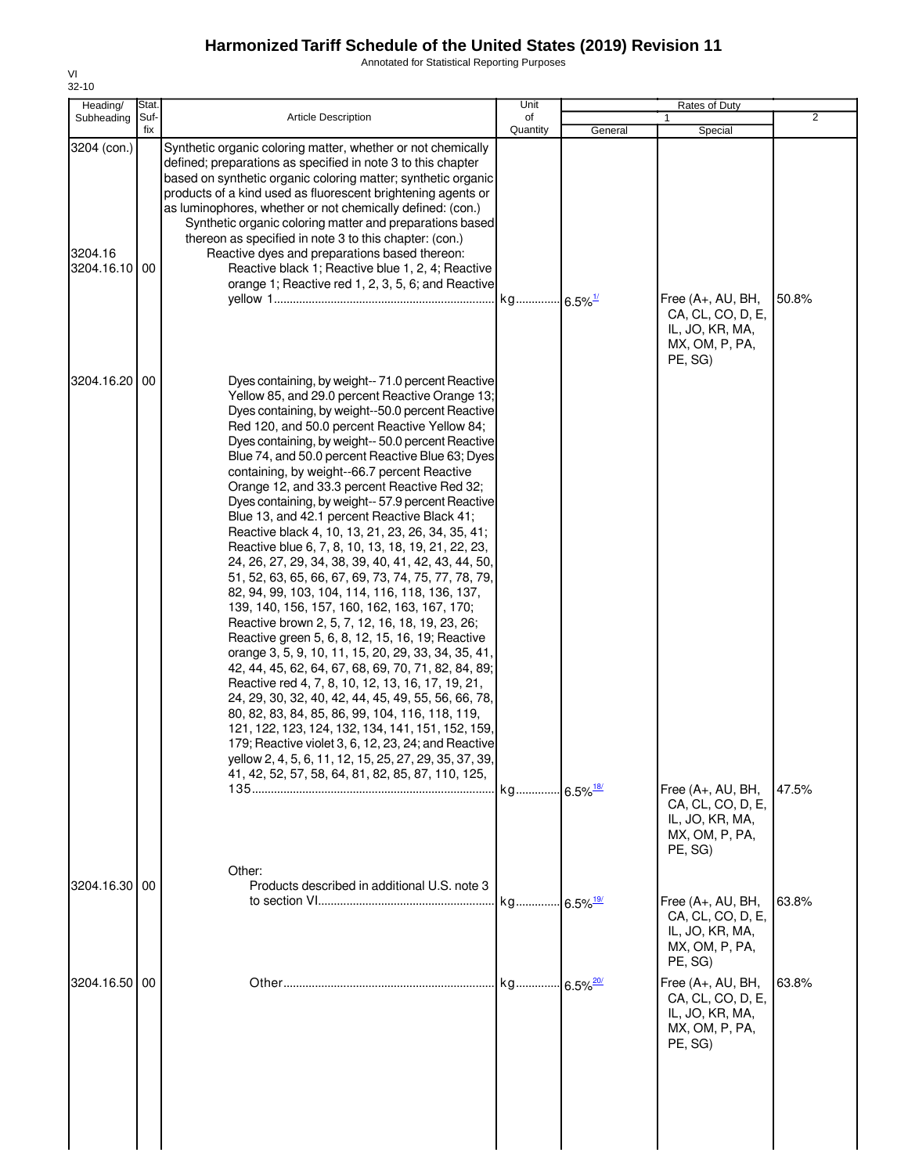Annotated for Statistical Reporting Purposes

| Heading/                             | Stat.       |                                                                                                                                                                                                                                                                                                                                                                                                                                                                                                                                                                                                                                                                                                                                                                                                                                                                                                                                                                                                                                                                                                                                                                                                                                                                                                                                                                                                                                                                       | Unit           |         | Rates of Duty                                                                          |                |
|--------------------------------------|-------------|-----------------------------------------------------------------------------------------------------------------------------------------------------------------------------------------------------------------------------------------------------------------------------------------------------------------------------------------------------------------------------------------------------------------------------------------------------------------------------------------------------------------------------------------------------------------------------------------------------------------------------------------------------------------------------------------------------------------------------------------------------------------------------------------------------------------------------------------------------------------------------------------------------------------------------------------------------------------------------------------------------------------------------------------------------------------------------------------------------------------------------------------------------------------------------------------------------------------------------------------------------------------------------------------------------------------------------------------------------------------------------------------------------------------------------------------------------------------------|----------------|---------|----------------------------------------------------------------------------------------|----------------|
| Subheading                           | Suf-<br>fix | <b>Article Description</b>                                                                                                                                                                                                                                                                                                                                                                                                                                                                                                                                                                                                                                                                                                                                                                                                                                                                                                                                                                                                                                                                                                                                                                                                                                                                                                                                                                                                                                            | of<br>Quantity | General | Special                                                                                | $\overline{2}$ |
| 3204 (con.)<br>3204.16<br>3204.16.10 | <b>00</b>   | Synthetic organic coloring matter, whether or not chemically<br>defined; preparations as specified in note 3 to this chapter<br>based on synthetic organic coloring matter; synthetic organic<br>products of a kind used as fluorescent brightening agents or<br>as luminophores, whether or not chemically defined: (con.)<br>Synthetic organic coloring matter and preparations based<br>thereon as specified in note 3 to this chapter: (con.)<br>Reactive dyes and preparations based thereon:<br>Reactive black 1; Reactive blue 1, 2, 4; Reactive<br>orange 1; Reactive red 1, 2, 3, 5, 6; and Reactive                                                                                                                                                                                                                                                                                                                                                                                                                                                                                                                                                                                                                                                                                                                                                                                                                                                         |                |         | Free (A+, AU, BH,<br>CA, CL, CO, D, E,<br>IL, JO, KR, MA,<br>MX, OM, P, PA,<br>PE, SG) | 50.8%          |
| 3204.16.20 00                        |             | Dyes containing, by weight-- 71.0 percent Reactive<br>Yellow 85, and 29.0 percent Reactive Orange 13;<br>Dyes containing, by weight--50.0 percent Reactive<br>Red 120, and 50.0 percent Reactive Yellow 84;<br>Dyes containing, by weight-- 50.0 percent Reactive<br>Blue 74, and 50.0 percent Reactive Blue 63; Dyes<br>containing, by weight--66.7 percent Reactive<br>Orange 12, and 33.3 percent Reactive Red 32;<br>Dyes containing, by weight-- 57.9 percent Reactive<br>Blue 13, and 42.1 percent Reactive Black 41;<br>Reactive black 4, 10, 13, 21, 23, 26, 34, 35, 41;<br>Reactive blue 6, 7, 8, 10, 13, 18, 19, 21, 22, 23,<br>24, 26, 27, 29, 34, 38, 39, 40, 41, 42, 43, 44, 50,<br>51, 52, 63, 65, 66, 67, 69, 73, 74, 75, 77, 78, 79,<br>82, 94, 99, 103, 104, 114, 116, 118, 136, 137,<br>139, 140, 156, 157, 160, 162, 163, 167, 170;<br>Reactive brown 2, 5, 7, 12, 16, 18, 19, 23, 26;<br>Reactive green 5, 6, 8, 12, 15, 16, 19; Reactive<br>orange 3, 5, 9, 10, 11, 15, 20, 29, 33, 34, 35, 41,<br>42, 44, 45, 62, 64, 67, 68, 69, 70, 71, 82, 84, 89;<br>Reactive red 4, 7, 8, 10, 12, 13, 16, 17, 19, 21,<br>24, 29, 30, 32, 40, 42, 44, 45, 49, 55, 56, 66, 78,<br>80, 82, 83, 84, 85, 86, 99, 104, 116, 118, 119,<br>121, 122, 123, 124, 132, 134, 141, 151, 152, 159,<br>179; Reactive violet 3, 6, 12, 23, 24; and Reactive<br>yellow 2, 4, 5, 6, 11, 12, 15, 25, 27, 29, 35, 37, 39,<br>41, 42, 52, 57, 58, 64, 81, 82, 85, 87, 110, 125, |                |         |                                                                                        |                |
|                                      |             | Other:                                                                                                                                                                                                                                                                                                                                                                                                                                                                                                                                                                                                                                                                                                                                                                                                                                                                                                                                                                                                                                                                                                                                                                                                                                                                                                                                                                                                                                                                |                |         | Free (A+, AU, BH,<br>CA, CL, CO, D, E,<br>IL, JO, KR, MA,<br>MX, OM, P, PA,<br>PE, SG) | 47.5%          |
| 3204.16.30 00                        |             | Products described in additional U.S. note 3                                                                                                                                                                                                                                                                                                                                                                                                                                                                                                                                                                                                                                                                                                                                                                                                                                                                                                                                                                                                                                                                                                                                                                                                                                                                                                                                                                                                                          |                |         | Free (A+, AU, BH,<br>CA, CL, CO, D, E,<br>IL, JO, KR, MA,<br>MX, OM, P, PA,<br>PE, SG) | 63.8%          |
| 3204.16.50 00                        |             |                                                                                                                                                                                                                                                                                                                                                                                                                                                                                                                                                                                                                                                                                                                                                                                                                                                                                                                                                                                                                                                                                                                                                                                                                                                                                                                                                                                                                                                                       |                |         | Free (A+, AU, BH,<br>CA, CL, CO, D, E,<br>IL, JO, KR, MA,<br>MX, OM, P, PA,<br>PE, SG) | 63.8%          |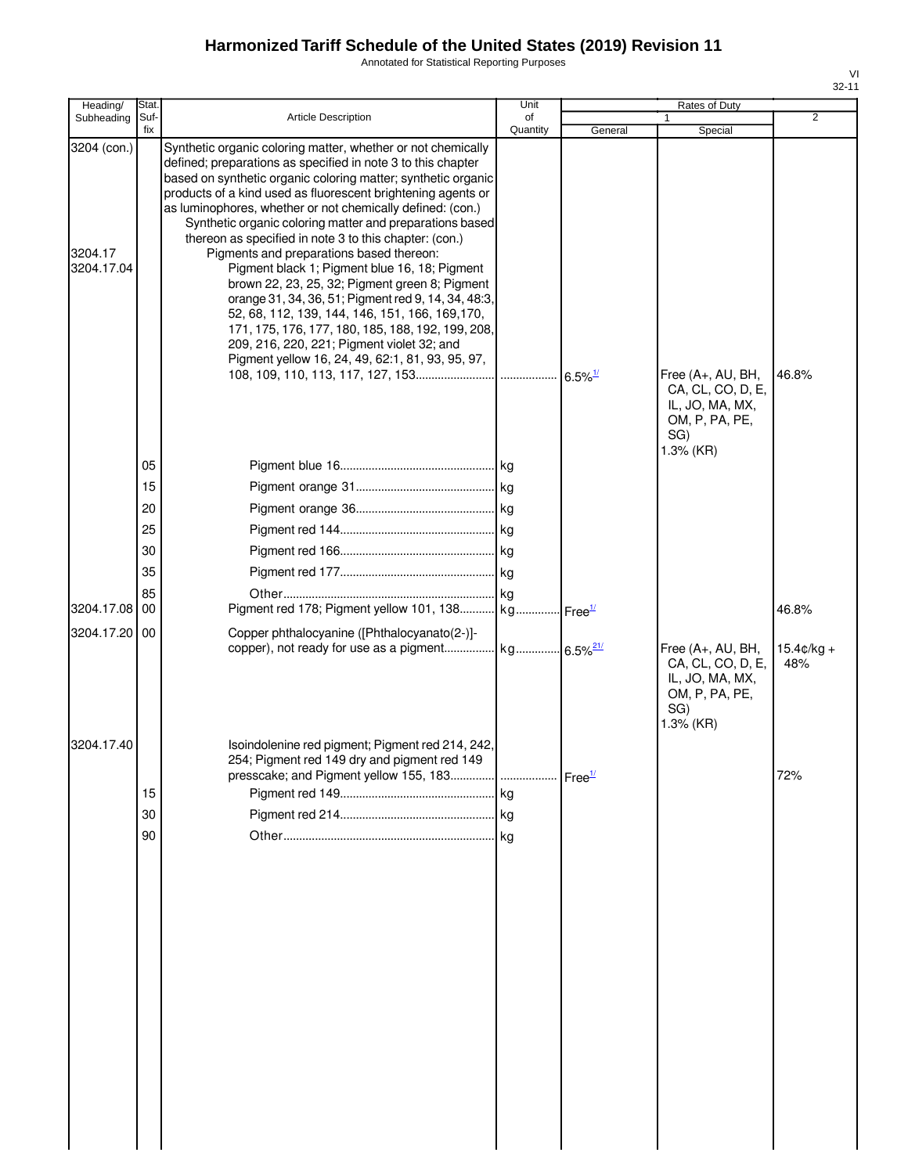Annotated for Statistical Reporting Purposes

| Heading/                             | Stat.                                  |                                                                                                                                                                                                                                                                                                                                                                                                                                                                                                                                                                                                                                                                                                                                                                                                                                                                   | Unit                                                    |         | Rates of Duty                                                                                   |                              |
|--------------------------------------|----------------------------------------|-------------------------------------------------------------------------------------------------------------------------------------------------------------------------------------------------------------------------------------------------------------------------------------------------------------------------------------------------------------------------------------------------------------------------------------------------------------------------------------------------------------------------------------------------------------------------------------------------------------------------------------------------------------------------------------------------------------------------------------------------------------------------------------------------------------------------------------------------------------------|---------------------------------------------------------|---------|-------------------------------------------------------------------------------------------------|------------------------------|
| Subheading                           | Suf-<br>fix                            | Article Description                                                                                                                                                                                                                                                                                                                                                                                                                                                                                                                                                                                                                                                                                                                                                                                                                                               | of<br>Quantity                                          | General | Special                                                                                         | 2                            |
| 3204 (con.)<br>3204.17<br>3204.17.04 |                                        | Synthetic organic coloring matter, whether or not chemically<br>defined; preparations as specified in note 3 to this chapter<br>based on synthetic organic coloring matter; synthetic organic<br>products of a kind used as fluorescent brightening agents or<br>as luminophores, whether or not chemically defined: (con.)<br>Synthetic organic coloring matter and preparations based<br>thereon as specified in note 3 to this chapter: (con.)<br>Pigments and preparations based thereon:<br>Pigment black 1; Pigment blue 16, 18; Pigment<br>brown 22, 23, 25, 32; Pigment green 8; Pigment<br>orange 31, 34, 36, 51; Pigment red 9, 14, 34, 48:3,<br>52, 68, 112, 139, 144, 146, 151, 166, 169, 170,<br>171, 175, 176, 177, 180, 185, 188, 192, 199, 208,<br>209, 216, 220, 221; Pigment violet 32; and<br>Pigment yellow 16, 24, 49, 62:1, 81, 93, 95, 97, |                                                         |         | Free (A+, AU, BH,<br>CA, CL, CO, D, E,<br>IL, JO, MA, MX,<br>OM, P, PA, PE,                     | 46.8%                        |
| 3204.17.08 00<br>3204.17.20 00       | 05<br>15<br>20<br>25<br>30<br>35<br>85 | Pigment red 178; Pigment yellow 101, 138<br>Copper phthalocyanine ([Phthalocyanato(2-)]-                                                                                                                                                                                                                                                                                                                                                                                                                                                                                                                                                                                                                                                                                                                                                                          | . kg<br>$\lfloor$ kg<br>. kg<br>. kg Free <sup>1/</sup> |         | SG)<br>1.3% (KR)<br>Free (A+, AU, BH,<br>CA, CL, CO, D, E,<br>IL, JO, MA, MX,<br>OM, P, PA, PE, | 46.8%<br>$15.4¢/kg +$<br>48% |
| 3204.17.40                           | 15<br>30<br>90                         | Isoindolenine red pigment; Pigment red 214, 242,<br>254; Pigment red 149 dry and pigment red 149                                                                                                                                                                                                                                                                                                                                                                                                                                                                                                                                                                                                                                                                                                                                                                  |                                                         |         | SG)<br>1.3% (KR)                                                                                | 72%                          |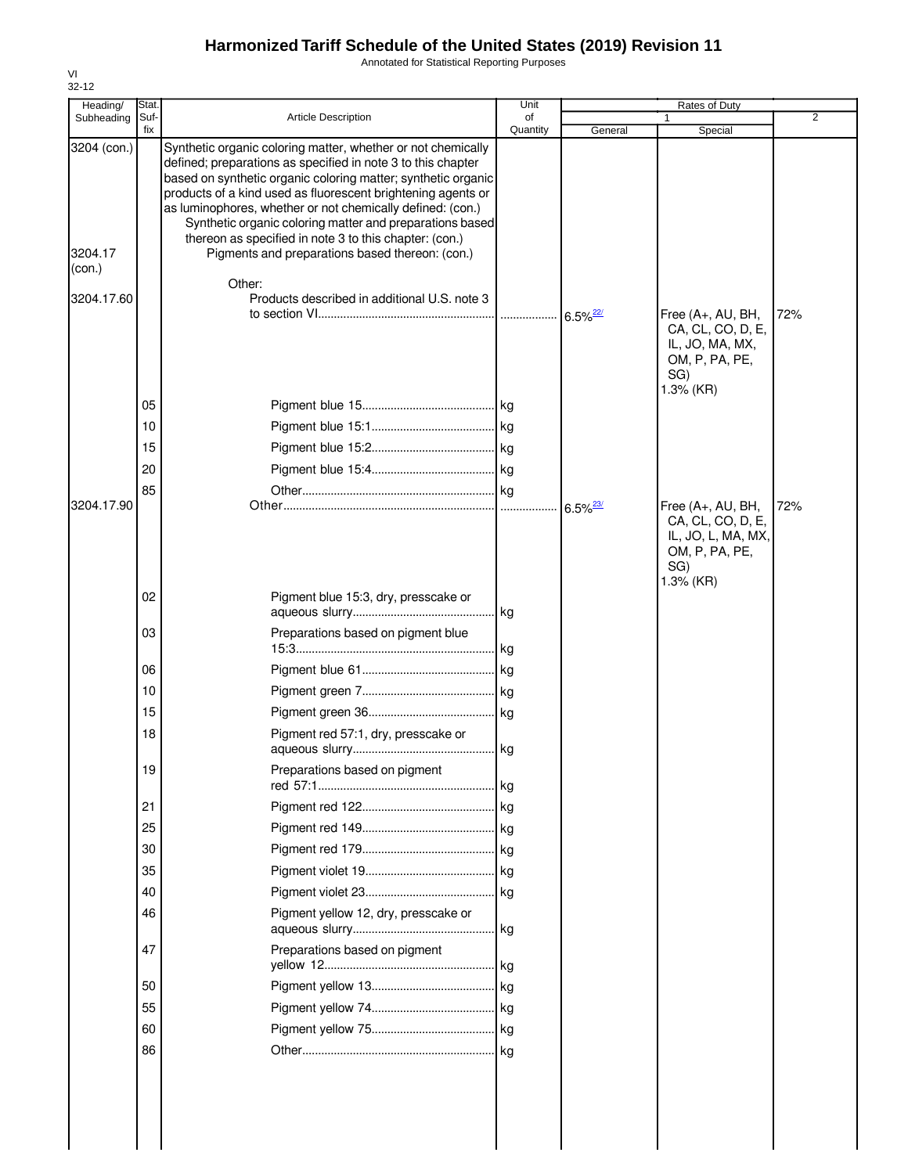Annotated for Statistical Reporting Purposes

| Heading/                                       | Stat.       |                                                                                                                                                                                                                                                                                                                                                                                                                                                                                                                                                                | Unit           |                        | Rates of Duty                                                                         |                |
|------------------------------------------------|-------------|----------------------------------------------------------------------------------------------------------------------------------------------------------------------------------------------------------------------------------------------------------------------------------------------------------------------------------------------------------------------------------------------------------------------------------------------------------------------------------------------------------------------------------------------------------------|----------------|------------------------|---------------------------------------------------------------------------------------|----------------|
| Subheading                                     | Suf-<br>fix | <b>Article Description</b>                                                                                                                                                                                                                                                                                                                                                                                                                                                                                                                                     | of<br>Quantity | General                | Special                                                                               | $\overline{2}$ |
| 3204 (con.)<br>3204.17<br>(con.)<br>3204.17.60 |             | Synthetic organic coloring matter, whether or not chemically<br>defined; preparations as specified in note 3 to this chapter<br>based on synthetic organic coloring matter; synthetic organic<br>products of a kind used as fluorescent brightening agents or<br>as luminophores, whether or not chemically defined: (con.)<br>Synthetic organic coloring matter and preparations based<br>thereon as specified in note 3 to this chapter: (con.)<br>Pigments and preparations based thereon: (con.)<br>Other:<br>Products described in additional U.S. note 3 |                |                        | Free (A+, AU, BH,<br>CA, CL, CO, D, E,<br>IL, JO, MA, MX,<br>OM, P, PA, PE,<br>SG)    | 72%            |
|                                                | 05          |                                                                                                                                                                                                                                                                                                                                                                                                                                                                                                                                                                |                |                        | 1.3% (KR)                                                                             |                |
|                                                | 10          |                                                                                                                                                                                                                                                                                                                                                                                                                                                                                                                                                                |                |                        |                                                                                       |                |
|                                                | 15          |                                                                                                                                                                                                                                                                                                                                                                                                                                                                                                                                                                |                |                        |                                                                                       |                |
|                                                | 20          |                                                                                                                                                                                                                                                                                                                                                                                                                                                                                                                                                                |                |                        |                                                                                       |                |
|                                                | 85          |                                                                                                                                                                                                                                                                                                                                                                                                                                                                                                                                                                |                |                        |                                                                                       |                |
| 3204.17.90                                     |             |                                                                                                                                                                                                                                                                                                                                                                                                                                                                                                                                                                |                | $6.5\%$ <sup>23/</sup> | Free (A+, AU, BH,<br>CA, CL, CO, D, E,<br>IL, JO, L, MA, MX,<br>OM, P, PA, PE,<br>SG) | 72%            |
|                                                | 02          | Pigment blue 15:3, dry, presscake or                                                                                                                                                                                                                                                                                                                                                                                                                                                                                                                           |                |                        | 1.3% (KR)                                                                             |                |
|                                                | 03          | Preparations based on pigment blue                                                                                                                                                                                                                                                                                                                                                                                                                                                                                                                             |                |                        |                                                                                       |                |
|                                                | 06          |                                                                                                                                                                                                                                                                                                                                                                                                                                                                                                                                                                |                |                        |                                                                                       |                |
|                                                | 10          |                                                                                                                                                                                                                                                                                                                                                                                                                                                                                                                                                                |                |                        |                                                                                       |                |
|                                                | 15          |                                                                                                                                                                                                                                                                                                                                                                                                                                                                                                                                                                |                |                        |                                                                                       |                |
|                                                | 18          | Pigment red 57:1, dry, presscake or                                                                                                                                                                                                                                                                                                                                                                                                                                                                                                                            |                |                        |                                                                                       |                |
|                                                | 19          | Preparations based on pigment                                                                                                                                                                                                                                                                                                                                                                                                                                                                                                                                  |                |                        |                                                                                       |                |
|                                                | 21          |                                                                                                                                                                                                                                                                                                                                                                                                                                                                                                                                                                |                |                        |                                                                                       |                |
|                                                | 25          |                                                                                                                                                                                                                                                                                                                                                                                                                                                                                                                                                                |                |                        |                                                                                       |                |
|                                                | 30          |                                                                                                                                                                                                                                                                                                                                                                                                                                                                                                                                                                |                |                        |                                                                                       |                |
|                                                | 35          |                                                                                                                                                                                                                                                                                                                                                                                                                                                                                                                                                                |                |                        |                                                                                       |                |
|                                                | 40          |                                                                                                                                                                                                                                                                                                                                                                                                                                                                                                                                                                |                |                        |                                                                                       |                |
|                                                | 46          | Pigment yellow 12, dry, presscake or                                                                                                                                                                                                                                                                                                                                                                                                                                                                                                                           |                |                        |                                                                                       |                |
|                                                | 47          | Preparations based on pigment                                                                                                                                                                                                                                                                                                                                                                                                                                                                                                                                  |                |                        |                                                                                       |                |
|                                                | 50          |                                                                                                                                                                                                                                                                                                                                                                                                                                                                                                                                                                |                |                        |                                                                                       |                |
|                                                | 55          |                                                                                                                                                                                                                                                                                                                                                                                                                                                                                                                                                                |                |                        |                                                                                       |                |
|                                                | 60          |                                                                                                                                                                                                                                                                                                                                                                                                                                                                                                                                                                |                |                        |                                                                                       |                |
|                                                | 86          |                                                                                                                                                                                                                                                                                                                                                                                                                                                                                                                                                                |                |                        |                                                                                       |                |
|                                                |             |                                                                                                                                                                                                                                                                                                                                                                                                                                                                                                                                                                |                |                        |                                                                                       |                |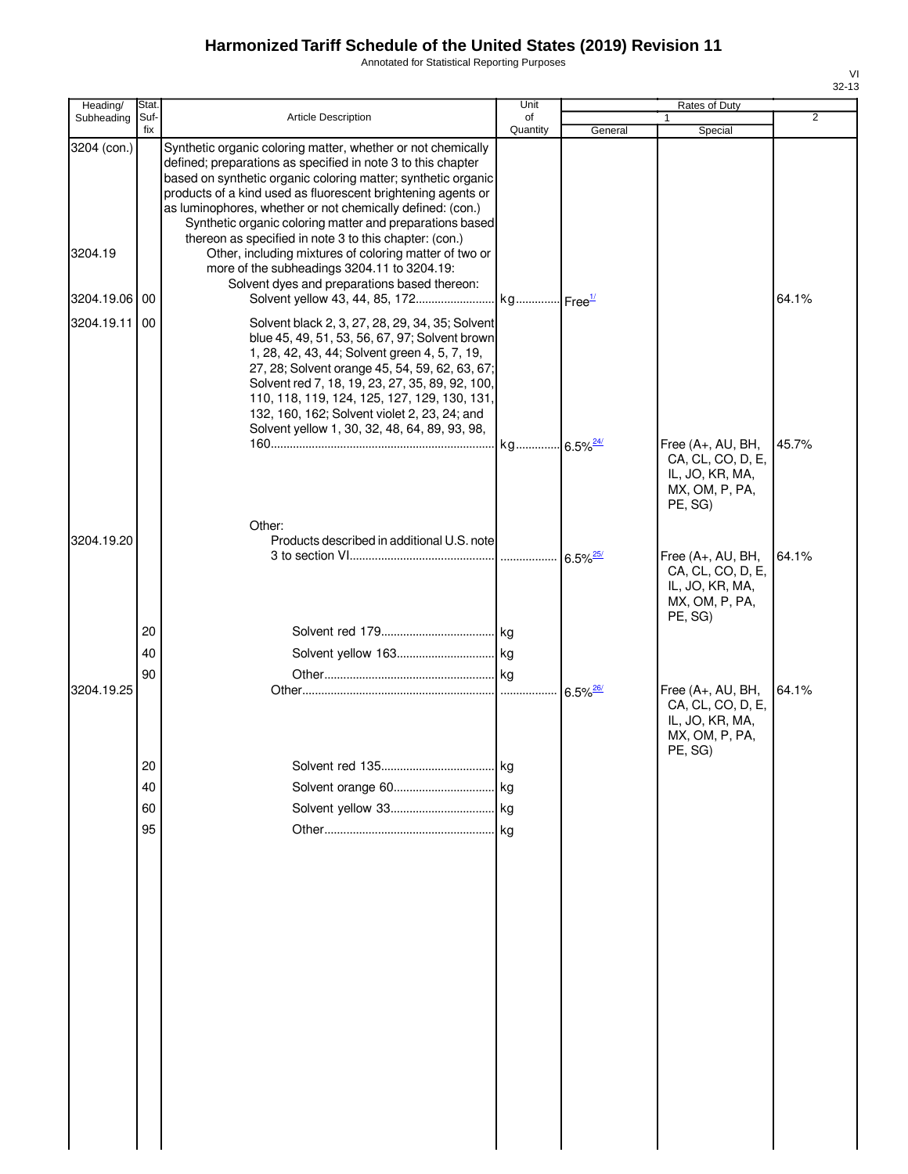Annotated for Statistical Reporting Purposes

| Heading/    | Stat.       |                                                                                                                                                                                                                                                                                                                                                                                                          | Unit                   |                        | Rates of Duty                                                                          |                |
|-------------|-------------|----------------------------------------------------------------------------------------------------------------------------------------------------------------------------------------------------------------------------------------------------------------------------------------------------------------------------------------------------------------------------------------------------------|------------------------|------------------------|----------------------------------------------------------------------------------------|----------------|
| Subheading  | Suf-<br>fix | Article Description                                                                                                                                                                                                                                                                                                                                                                                      | of<br>Quantity         | General                | 1<br>Special                                                                           | $\overline{2}$ |
| 3204 (con.) |             | Synthetic organic coloring matter, whether or not chemically<br>defined; preparations as specified in note 3 to this chapter<br>based on synthetic organic coloring matter; synthetic organic<br>products of a kind used as fluorescent brightening agents or<br>as luminophores, whether or not chemically defined: (con.)<br>Synthetic organic coloring matter and preparations based                  |                        |                        |                                                                                        |                |
| 3204.19     |             | thereon as specified in note 3 to this chapter: (con.)<br>Other, including mixtures of coloring matter of two or<br>more of the subheadings 3204.11 to 3204.19:<br>Solvent dyes and preparations based thereon:                                                                                                                                                                                          |                        |                        |                                                                                        |                |
| 3204.19.06  | 00          |                                                                                                                                                                                                                                                                                                                                                                                                          |                        |                        |                                                                                        | 64.1%          |
| 3204.19.11  | -00         | Solvent black 2, 3, 27, 28, 29, 34, 35; Solvent<br>blue 45, 49, 51, 53, 56, 67, 97; Solvent brown<br>1, 28, 42, 43, 44; Solvent green 4, 5, 7, 19,<br>27, 28; Solvent orange 45, 54, 59, 62, 63, 67;<br>Solvent red 7, 18, 19, 23, 27, 35, 89, 92, 100,<br>110, 118, 119, 124, 125, 127, 129, 130, 131,<br>132, 160, 162; Solvent violet 2, 23, 24; and<br>Solvent yellow 1, 30, 32, 48, 64, 89, 93, 98, |                        |                        |                                                                                        |                |
|             |             |                                                                                                                                                                                                                                                                                                                                                                                                          | kg 6.5% <sup>24/</sup> |                        | Free (A+, AU, BH,<br>CA, CL, CO, D, E,<br>IL, JO, KR, MA,<br>MX, OM, P, PA,<br>PE, SG) | 45.7%          |
| 3204.19.20  |             | Other:<br>Products described in additional U.S. note                                                                                                                                                                                                                                                                                                                                                     |                        | $6.5\%$ <sup>25/</sup> | Free (A+, AU, BH,<br>CA, CL, CO, D, E,<br>IL, JO, KR, MA,<br>MX, OM, P, PA,            | 64.1%          |
|             | 20          |                                                                                                                                                                                                                                                                                                                                                                                                          |                        |                        | PE, SG)                                                                                |                |
|             |             |                                                                                                                                                                                                                                                                                                                                                                                                          |                        |                        |                                                                                        |                |
|             | 40          |                                                                                                                                                                                                                                                                                                                                                                                                          |                        |                        |                                                                                        |                |
| 3204.19.25  | 90          |                                                                                                                                                                                                                                                                                                                                                                                                          |                        | $6.5\%$ <sup>26/</sup> | Free (A+, AU, BH,<br>CA, CL, CO, D, E,<br>IL, JO, KR, MA,<br>MX, OM, P, PA,<br>PE, SG) | 64.1%          |
|             | 20          |                                                                                                                                                                                                                                                                                                                                                                                                          | 1 Kg                   |                        |                                                                                        |                |
|             | 40          |                                                                                                                                                                                                                                                                                                                                                                                                          |                        |                        |                                                                                        |                |
|             | 60          |                                                                                                                                                                                                                                                                                                                                                                                                          |                        |                        |                                                                                        |                |
|             | 95          |                                                                                                                                                                                                                                                                                                                                                                                                          | kg                     |                        |                                                                                        |                |
|             |             |                                                                                                                                                                                                                                                                                                                                                                                                          |                        |                        |                                                                                        |                |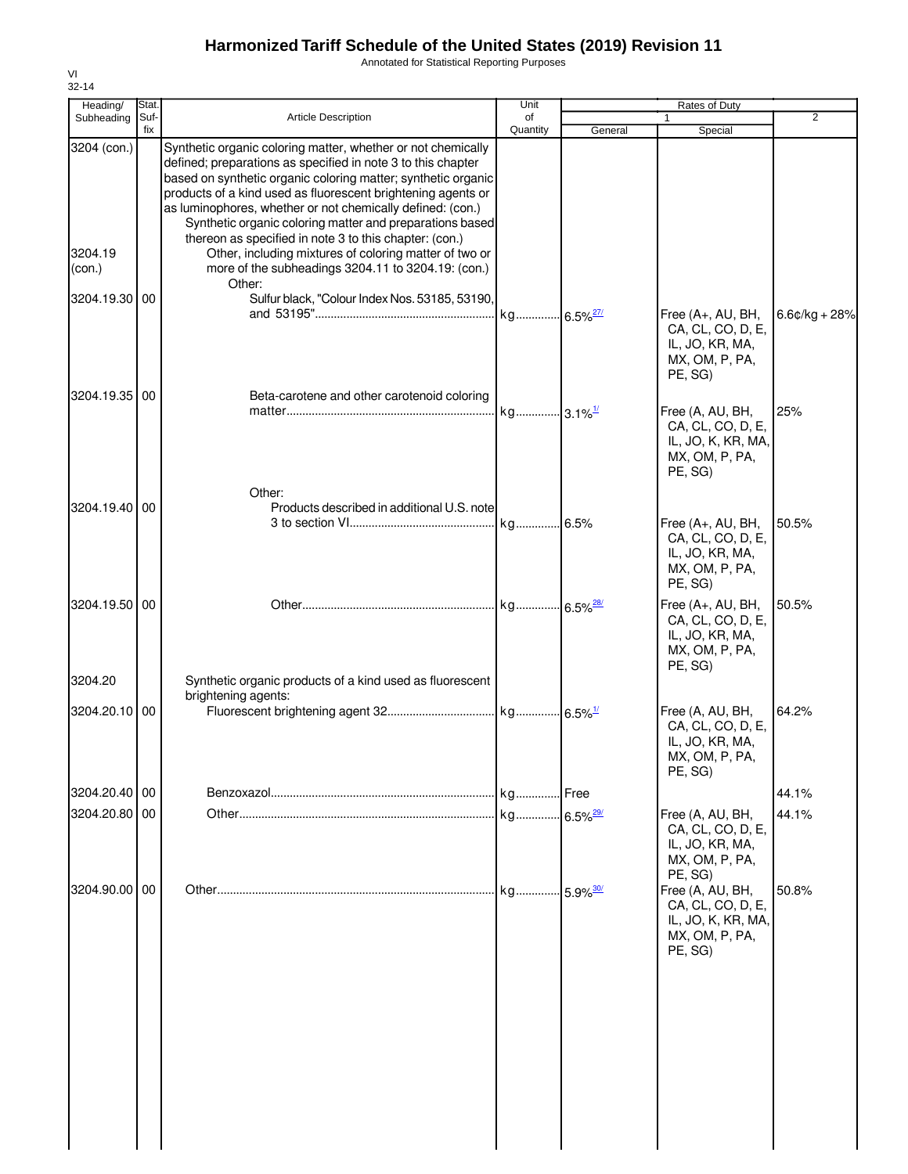Annotated for Statistical Reporting Purposes

| Heading/          | Stat.       |                                                                                                                                                                                                                                                                                                                                                                                                                                                   | Unit           |         | Rates of Duty                                                                            |                 |
|-------------------|-------------|---------------------------------------------------------------------------------------------------------------------------------------------------------------------------------------------------------------------------------------------------------------------------------------------------------------------------------------------------------------------------------------------------------------------------------------------------|----------------|---------|------------------------------------------------------------------------------------------|-----------------|
| Subheading        | Suf-<br>fix | <b>Article Description</b>                                                                                                                                                                                                                                                                                                                                                                                                                        | of<br>Quantity | General | $\mathbf{1}$<br>Special                                                                  | 2               |
| 3204 (con.)       |             | Synthetic organic coloring matter, whether or not chemically<br>defined; preparations as specified in note 3 to this chapter<br>based on synthetic organic coloring matter; synthetic organic<br>products of a kind used as fluorescent brightening agents or<br>as luminophores, whether or not chemically defined: (con.)<br>Synthetic organic coloring matter and preparations based<br>thereon as specified in note 3 to this chapter: (con.) |                |         |                                                                                          |                 |
| 3204.19<br>(con.) |             | Other, including mixtures of coloring matter of two or<br>more of the subheadings 3204.11 to 3204.19: (con.)<br>Other:                                                                                                                                                                                                                                                                                                                            |                |         |                                                                                          |                 |
| 3204.19.30 00     |             | Sulfur black, "Colour Index Nos. 53185, 53190,                                                                                                                                                                                                                                                                                                                                                                                                    |                |         | Free (A+, AU, BH,<br>CA, CL, CO, D, E,<br>IL, JO, KR, MA,<br>MX, OM, P, PA,<br>PE, SG)   | $6.6¢/kg + 28%$ |
| 3204.19.35 00     |             | Beta-carotene and other carotenoid coloring                                                                                                                                                                                                                                                                                                                                                                                                       |                |         | Free (A, AU, BH,<br>CA, CL, CO, D, E,<br>IL, JO, K, KR, MA,<br>MX, OM, P, PA,<br>PE, SG) | 25%             |
| 3204.19.40 00     |             | Other:<br>Products described in additional U.S. note                                                                                                                                                                                                                                                                                                                                                                                              |                |         | Free (A+, AU, BH,<br>CA, CL, CO, D, E,<br>IL, JO, KR, MA,<br>MX, OM, P, PA,<br>PE, SG)   | 50.5%           |
| 3204.19.50 00     |             |                                                                                                                                                                                                                                                                                                                                                                                                                                                   |                |         | Free (A+, AU, BH,<br>CA, CL, CO, D, E,<br>IL, JO, KR, MA,<br>MX, OM, P, PA,<br>PE, SG)   | 50.5%           |
| 3204.20           |             | Synthetic organic products of a kind used as fluorescent                                                                                                                                                                                                                                                                                                                                                                                          |                |         |                                                                                          |                 |
| 3204.20.10 00     |             | brightening agents:                                                                                                                                                                                                                                                                                                                                                                                                                               |                |         | Free (A, AU, BH,<br>CA, CL, CO, D, E,<br>IL, JO, KR, MA,<br>MX, OM, P, PA,<br>PE, SG)    | 64.2%           |
| 3204.20.40 00     |             |                                                                                                                                                                                                                                                                                                                                                                                                                                                   |                |         |                                                                                          | 44.1%           |
| 3204.20.80 00     |             |                                                                                                                                                                                                                                                                                                                                                                                                                                                   |                |         | Free (A, AU, BH,<br>CA, CL, CO, D, E,<br>IL, JO, KR, MA,<br>MX, OM, P, PA,<br>PE, SG)    | 44.1%           |
| 3204.90.00 00     |             |                                                                                                                                                                                                                                                                                                                                                                                                                                                   |                |         | Free (A, AU, BH,<br>CA, CL, CO, D, E,<br>IL, JO, K, KR, MA,<br>MX, OM, P, PA,<br>PE, SG) | 50.8%           |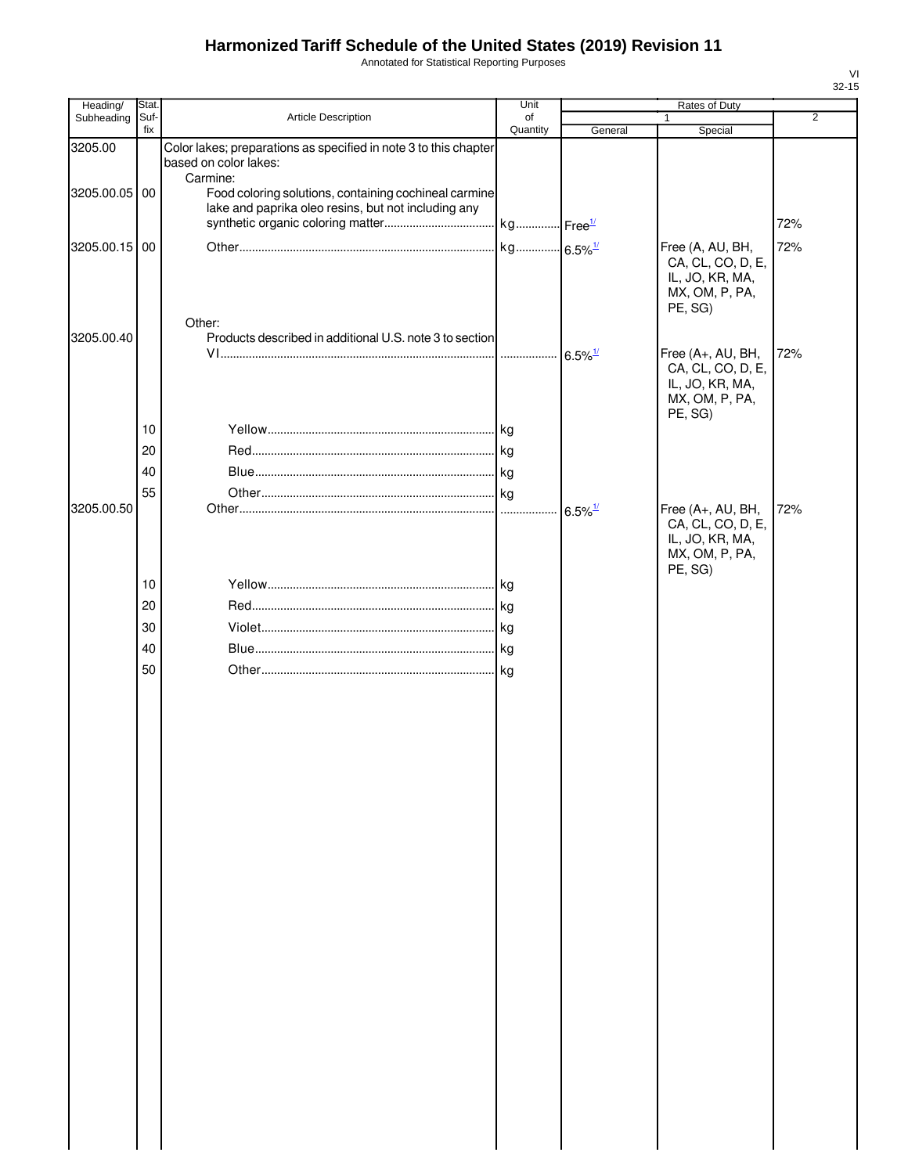Annotated for Statistical Reporting Purposes

| Suf-<br>Article Description<br>Subheading<br>of<br>1<br>fix<br>Quantity<br>General<br>Special<br>Color lakes; preparations as specified in note 3 to this chapter<br>3205.00<br>based on color lakes:<br>Carmine:<br>Food coloring solutions, containing cochineal carmine<br>3205.00.05 00<br>lake and paprika oleo resins, but not including any<br>3205.00.15 00<br>Free (A, AU, BH,<br>CA, CL, CO, D, E,<br>IL, JO, KR, MA,<br>MX, OM, P, PA,<br>PE, SG)<br>Other:<br>3205.00.40<br>Products described in additional U.S. note 3 to section<br>Free (A+, AU, BH,<br>$6.5\%$ <sup>1/</sup> | $\overline{2}$<br>72%<br>72% |
|-----------------------------------------------------------------------------------------------------------------------------------------------------------------------------------------------------------------------------------------------------------------------------------------------------------------------------------------------------------------------------------------------------------------------------------------------------------------------------------------------------------------------------------------------------------------------------------------------|------------------------------|
|                                                                                                                                                                                                                                                                                                                                                                                                                                                                                                                                                                                               |                              |
|                                                                                                                                                                                                                                                                                                                                                                                                                                                                                                                                                                                               |                              |
|                                                                                                                                                                                                                                                                                                                                                                                                                                                                                                                                                                                               |                              |
|                                                                                                                                                                                                                                                                                                                                                                                                                                                                                                                                                                                               |                              |
|                                                                                                                                                                                                                                                                                                                                                                                                                                                                                                                                                                                               |                              |
|                                                                                                                                                                                                                                                                                                                                                                                                                                                                                                                                                                                               |                              |
|                                                                                                                                                                                                                                                                                                                                                                                                                                                                                                                                                                                               |                              |
|                                                                                                                                                                                                                                                                                                                                                                                                                                                                                                                                                                                               |                              |
|                                                                                                                                                                                                                                                                                                                                                                                                                                                                                                                                                                                               |                              |
|                                                                                                                                                                                                                                                                                                                                                                                                                                                                                                                                                                                               |                              |
|                                                                                                                                                                                                                                                                                                                                                                                                                                                                                                                                                                                               |                              |
|                                                                                                                                                                                                                                                                                                                                                                                                                                                                                                                                                                                               |                              |
|                                                                                                                                                                                                                                                                                                                                                                                                                                                                                                                                                                                               | 72%                          |
| CA, CL, CO, D, E,<br>IL, JO, KR, MA,                                                                                                                                                                                                                                                                                                                                                                                                                                                                                                                                                          |                              |
| MX, OM, P, PA,                                                                                                                                                                                                                                                                                                                                                                                                                                                                                                                                                                                |                              |
| PE, SG)                                                                                                                                                                                                                                                                                                                                                                                                                                                                                                                                                                                       |                              |
| 10                                                                                                                                                                                                                                                                                                                                                                                                                                                                                                                                                                                            |                              |
| 20                                                                                                                                                                                                                                                                                                                                                                                                                                                                                                                                                                                            |                              |
| 40                                                                                                                                                                                                                                                                                                                                                                                                                                                                                                                                                                                            |                              |
| 55                                                                                                                                                                                                                                                                                                                                                                                                                                                                                                                                                                                            |                              |
| 3205.00.50<br>Free (A+, AU, BH,<br>$6.5\%$ <sup>1/</sup>                                                                                                                                                                                                                                                                                                                                                                                                                                                                                                                                      | 72%                          |
| CA, CL, CO, D, E,<br>IL, JO, KR, MA,                                                                                                                                                                                                                                                                                                                                                                                                                                                                                                                                                          |                              |
| MX, OM, P, PA,                                                                                                                                                                                                                                                                                                                                                                                                                                                                                                                                                                                |                              |
| PE, SG)                                                                                                                                                                                                                                                                                                                                                                                                                                                                                                                                                                                       |                              |
| 10                                                                                                                                                                                                                                                                                                                                                                                                                                                                                                                                                                                            |                              |
| 20                                                                                                                                                                                                                                                                                                                                                                                                                                                                                                                                                                                            |                              |
| 30                                                                                                                                                                                                                                                                                                                                                                                                                                                                                                                                                                                            |                              |
| 40                                                                                                                                                                                                                                                                                                                                                                                                                                                                                                                                                                                            |                              |
| 50                                                                                                                                                                                                                                                                                                                                                                                                                                                                                                                                                                                            |                              |
|                                                                                                                                                                                                                                                                                                                                                                                                                                                                                                                                                                                               |                              |
|                                                                                                                                                                                                                                                                                                                                                                                                                                                                                                                                                                                               |                              |
|                                                                                                                                                                                                                                                                                                                                                                                                                                                                                                                                                                                               |                              |
|                                                                                                                                                                                                                                                                                                                                                                                                                                                                                                                                                                                               |                              |
|                                                                                                                                                                                                                                                                                                                                                                                                                                                                                                                                                                                               |                              |
|                                                                                                                                                                                                                                                                                                                                                                                                                                                                                                                                                                                               |                              |
|                                                                                                                                                                                                                                                                                                                                                                                                                                                                                                                                                                                               |                              |
|                                                                                                                                                                                                                                                                                                                                                                                                                                                                                                                                                                                               |                              |
|                                                                                                                                                                                                                                                                                                                                                                                                                                                                                                                                                                                               |                              |
|                                                                                                                                                                                                                                                                                                                                                                                                                                                                                                                                                                                               |                              |
|                                                                                                                                                                                                                                                                                                                                                                                                                                                                                                                                                                                               |                              |
|                                                                                                                                                                                                                                                                                                                                                                                                                                                                                                                                                                                               |                              |
|                                                                                                                                                                                                                                                                                                                                                                                                                                                                                                                                                                                               |                              |
|                                                                                                                                                                                                                                                                                                                                                                                                                                                                                                                                                                                               |                              |
|                                                                                                                                                                                                                                                                                                                                                                                                                                                                                                                                                                                               |                              |
|                                                                                                                                                                                                                                                                                                                                                                                                                                                                                                                                                                                               |                              |
|                                                                                                                                                                                                                                                                                                                                                                                                                                                                                                                                                                                               |                              |
|                                                                                                                                                                                                                                                                                                                                                                                                                                                                                                                                                                                               |                              |
|                                                                                                                                                                                                                                                                                                                                                                                                                                                                                                                                                                                               |                              |
|                                                                                                                                                                                                                                                                                                                                                                                                                                                                                                                                                                                               |                              |
|                                                                                                                                                                                                                                                                                                                                                                                                                                                                                                                                                                                               |                              |
|                                                                                                                                                                                                                                                                                                                                                                                                                                                                                                                                                                                               |                              |
|                                                                                                                                                                                                                                                                                                                                                                                                                                                                                                                                                                                               |                              |
|                                                                                                                                                                                                                                                                                                                                                                                                                                                                                                                                                                                               |                              |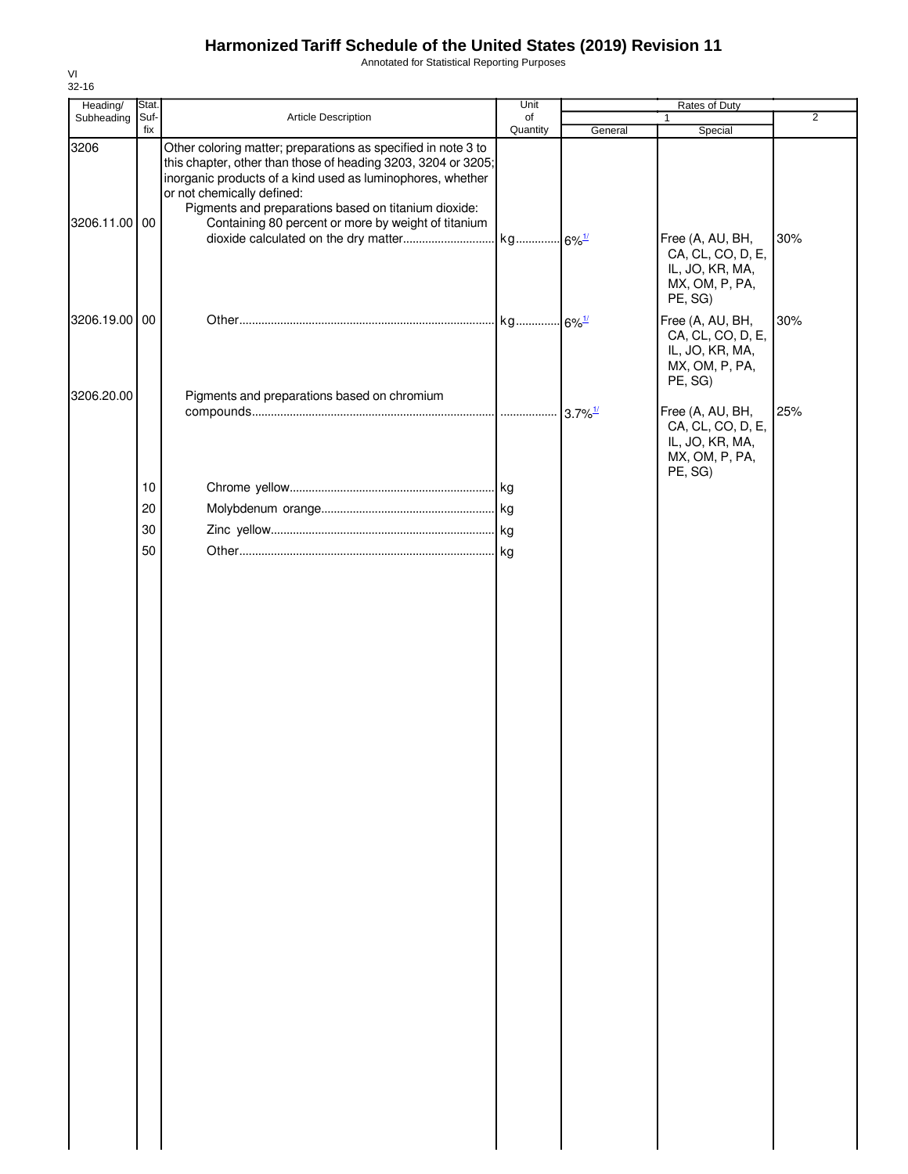Annotated for Statistical Reporting Purposes

| Heading/           | Stat.       |                                                                                                                                                                                                                                                                                                                                           | Unit           |         | Rates of Duty                                                                         |                |
|--------------------|-------------|-------------------------------------------------------------------------------------------------------------------------------------------------------------------------------------------------------------------------------------------------------------------------------------------------------------------------------------------|----------------|---------|---------------------------------------------------------------------------------------|----------------|
| Subheading         | Suf-<br>fix | Article Description                                                                                                                                                                                                                                                                                                                       | of<br>Quantity | General | $\mathbf{1}$<br>Special                                                               | $\overline{2}$ |
| 3206<br>3206.11.00 | 00          | Other coloring matter; preparations as specified in note 3 to<br>this chapter, other than those of heading 3203, 3204 or 3205;<br>inorganic products of a kind used as luminophores, whether<br>or not chemically defined:<br>Pigments and preparations based on titanium dioxide:<br>Containing 80 percent or more by weight of titanium |                |         |                                                                                       |                |
|                    |             |                                                                                                                                                                                                                                                                                                                                           |                |         | Free (A, AU, BH,<br>CA, CL, CO, D, E,<br>IL, JO, KR, MA,<br>MX, OM, P, PA,<br>PE, SG) | 30%            |
| 3206.19.00         | 00          |                                                                                                                                                                                                                                                                                                                                           |                |         | Free (A, AU, BH,<br>CA, CL, CO, D, E,<br>IL, JO, KR, MA,<br>MX, OM, P, PA,<br>PE, SG) | 30%            |
| 3206.20.00         |             | Pigments and preparations based on chromium                                                                                                                                                                                                                                                                                               |                |         | Free (A, AU, BH,<br>CA, CL, CO, D, E,<br>IL, JO, KR, MA,<br>MX, OM, P, PA,<br>PE, SG) | 25%            |
|                    | 10          |                                                                                                                                                                                                                                                                                                                                           |                |         |                                                                                       |                |
|                    | 20          |                                                                                                                                                                                                                                                                                                                                           |                |         |                                                                                       |                |
|                    | 30          |                                                                                                                                                                                                                                                                                                                                           |                |         |                                                                                       |                |
|                    | 50          |                                                                                                                                                                                                                                                                                                                                           |                |         |                                                                                       |                |
|                    |             |                                                                                                                                                                                                                                                                                                                                           |                |         |                                                                                       |                |
|                    |             |                                                                                                                                                                                                                                                                                                                                           |                |         |                                                                                       |                |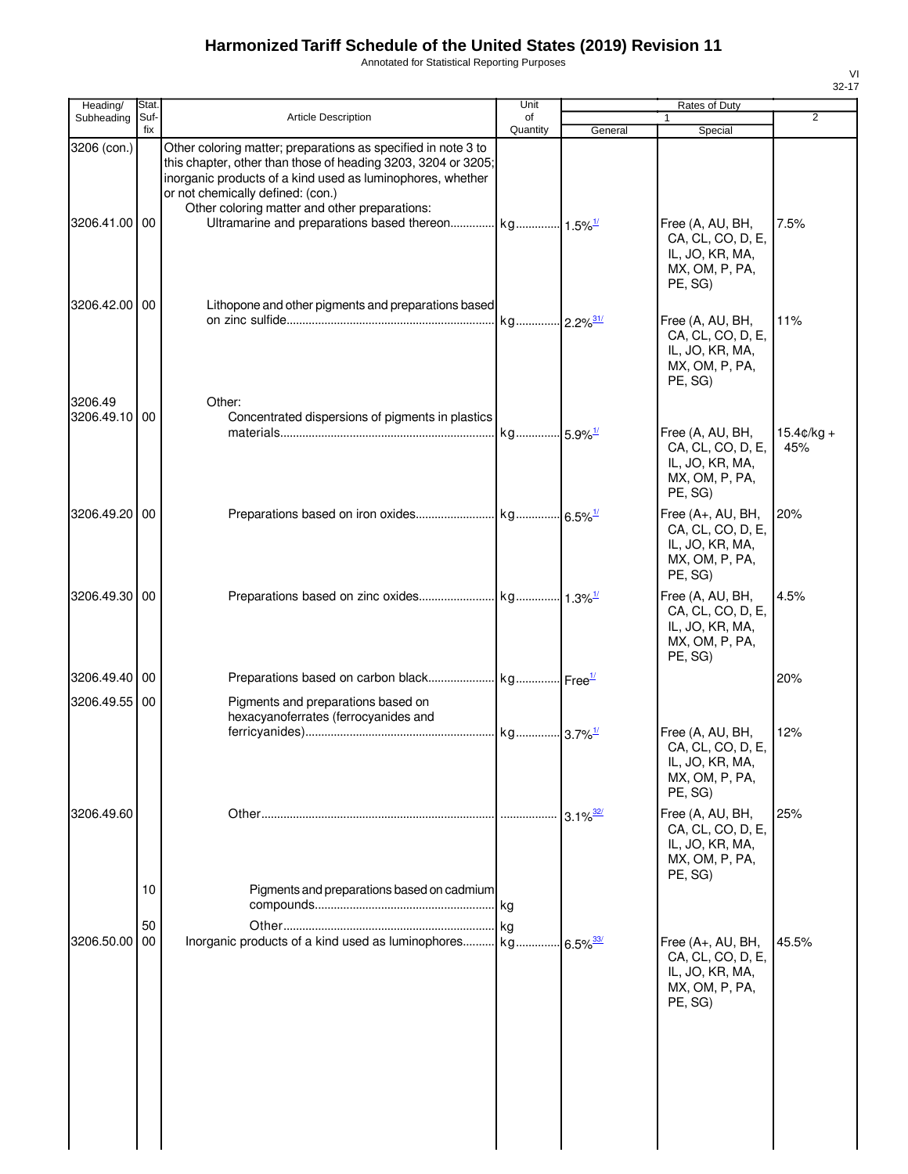Annotated for Statistical Reporting Purposes

| Heading/                     | Stat.       |                                                                                                                                                                                                                                                                                    | Unit           |                        | Rates of Duty                                                                                    |                             |
|------------------------------|-------------|------------------------------------------------------------------------------------------------------------------------------------------------------------------------------------------------------------------------------------------------------------------------------------|----------------|------------------------|--------------------------------------------------------------------------------------------------|-----------------------------|
| Subheading                   | Suf-<br>fix | <b>Article Description</b>                                                                                                                                                                                                                                                         | of<br>Quantity | General                | 1                                                                                                | $\overline{2}$              |
| 3206 (con.)<br>3206.41.00 00 |             | Other coloring matter; preparations as specified in note 3 to<br>this chapter, other than those of heading 3203, 3204 or 3205;<br>inorganic products of a kind used as luminophores, whether<br>or not chemically defined: (con.)<br>Other coloring matter and other preparations: |                |                        | Special<br>Free (A, AU, BH,<br>CA, CL, CO, D, E,<br>IL, JO, KR, MA,<br>MX, OM, P, PA,<br>PE, SG) | 7.5%                        |
| 3206.42.00 00                |             | Lithopone and other pigments and preparations based                                                                                                                                                                                                                                |                |                        | Free (A, AU, BH,<br>CA, CL, CO, D, E,<br>IL, JO, KR, MA,<br>MX, OM, P, PA,<br>PE, SG)            | 11%                         |
| 3206.49<br>3206.49.10 00     |             | Other:<br>Concentrated dispersions of pigments in plastics                                                                                                                                                                                                                         |                |                        | Free (A, AU, BH,<br>CA, CL, CO, D, E,<br>IL, JO, KR, MA,<br>MX, OM, P, PA,<br>PE, SG)            | $15.4 \text{c/kg} +$<br>45% |
| 3206.49.20 00                |             |                                                                                                                                                                                                                                                                                    |                |                        | Free (A+, AU, BH,<br>CA, CL, CO, D, E,<br>IL, JO, KR, MA,<br>MX, OM, P, PA,<br>PE, SG)           | 20%                         |
| 3206.49.30 00                |             |                                                                                                                                                                                                                                                                                    |                |                        | Free (A, AU, BH,<br>CA, CL, CO, D, E,<br>IL, JO, KR, MA,<br>MX, OM, P, PA,<br>PE, SG)            | 4.5%                        |
| 3206.49.40 00                |             |                                                                                                                                                                                                                                                                                    |                |                        |                                                                                                  | 20%                         |
| 3206.49.55 00                |             | Pigments and preparations based on<br>hexacyanoferrates (ferrocyanides and                                                                                                                                                                                                         |                |                        | Free (A, AU, BH,<br>CA, CL, CO, D, E,<br>IL, JO, KR, MA,<br>MX, OM, P, PA,<br>PE, SG)            | 12%                         |
| 3206.49.60                   | 10          | Pigments and preparations based on cadmium                                                                                                                                                                                                                                         |                | $3.1\%$ <sup>32/</sup> | Free (A, AU, BH,<br>CA, CL, CO, D, E,<br>IL, JO, KR, MA,<br>MX, OM, P, PA,<br>PE, SG)            | 25%                         |
| 3206.50.00 00                | 50          | Inorganic products of a kind used as luminophores kg                                                                                                                                                                                                                               |                | $6.5\%$ <sup>33/</sup> | Free (A+, AU, BH,<br>CA, CL, CO, D, E,<br>IL, JO, KR, MA,<br>MX, OM, P, PA,<br>PE, SG)           | 45.5%                       |
|                              |             |                                                                                                                                                                                                                                                                                    |                |                        |                                                                                                  |                             |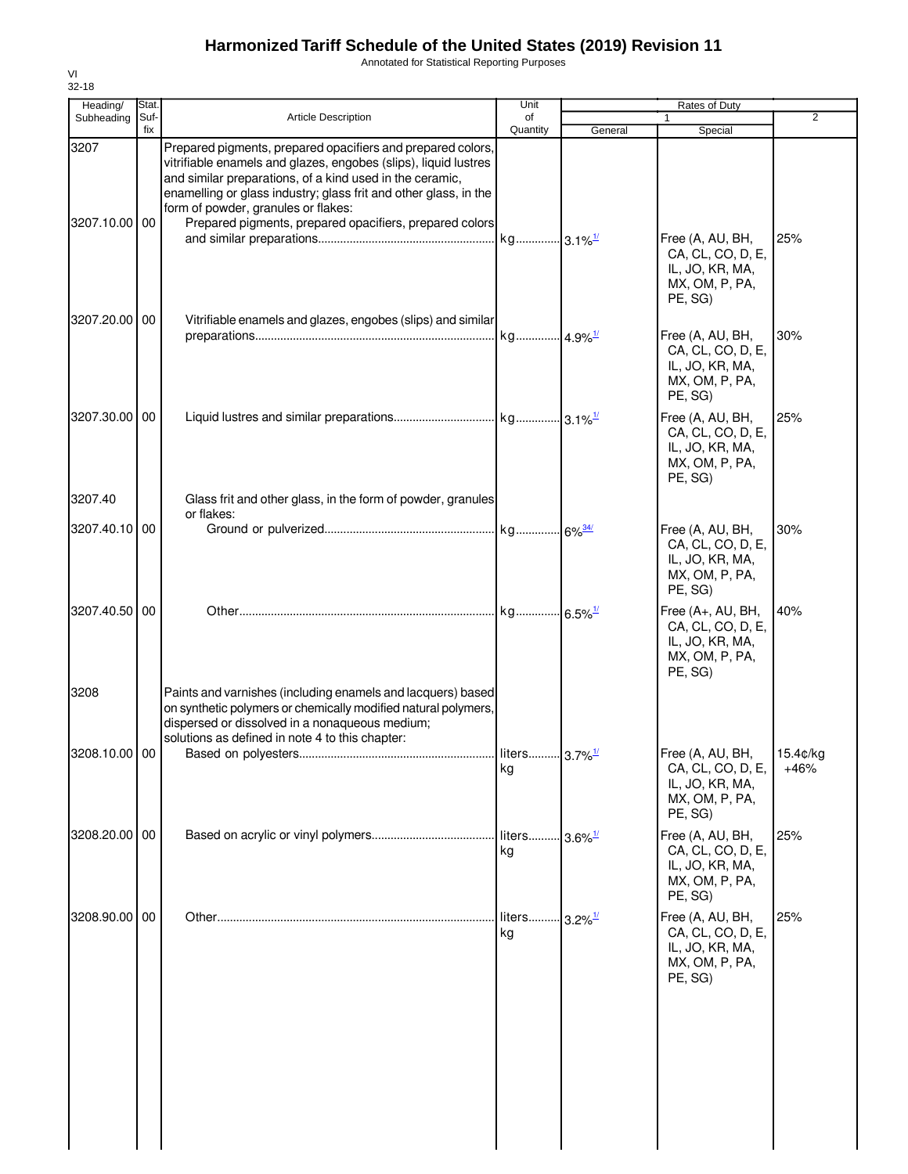Annotated for Statistical Reporting Purposes

| Heading/              | Stat.       |                                                                                                                                                                                                                                                                                                                                                                  | Unit           |                        | Rates of Duty                                                                          |                    |
|-----------------------|-------------|------------------------------------------------------------------------------------------------------------------------------------------------------------------------------------------------------------------------------------------------------------------------------------------------------------------------------------------------------------------|----------------|------------------------|----------------------------------------------------------------------------------------|--------------------|
| Subheading            | Suf-<br>fix | <b>Article Description</b>                                                                                                                                                                                                                                                                                                                                       | of<br>Quantity | General                | 1<br>Special                                                                           | $\overline{2}$     |
| 3207<br>3207.10.00    | 00          | Prepared pigments, prepared opacifiers and prepared colors,<br>vitrifiable enamels and glazes, engobes (slips), liquid lustres<br>and similar preparations, of a kind used in the ceramic,<br>enamelling or glass industry; glass frit and other glass, in the<br>form of powder, granules or flakes:<br>Prepared pigments, prepared opacifiers, prepared colors |                |                        |                                                                                        |                    |
|                       |             |                                                                                                                                                                                                                                                                                                                                                                  |                |                        | Free (A, AU, BH,<br>CA, CL, CO, D, E,<br>IL, JO, KR, MA,<br>MX, OM, P, PA,<br>PE, SG)  | 25%                |
| 3207.20.00 00         |             | Vitrifiable enamels and glazes, engobes (slips) and similar                                                                                                                                                                                                                                                                                                      |                |                        | Free (A, AU, BH,<br>CA, CL, CO, D, E,<br>IL, JO, KR, MA,<br>MX, OM, P, PA,<br>PE, SG)  | 30%                |
| 3207.30.00<br>3207.40 | 00          | Glass frit and other glass, in the form of powder, granules                                                                                                                                                                                                                                                                                                      |                |                        | Free (A, AU, BH,<br>CA, CL, CO, D, E,<br>IL, JO, KR, MA,<br>MX, OM, P, PA,<br>PE, SG)  | 25%                |
|                       |             | or flakes:                                                                                                                                                                                                                                                                                                                                                       |                |                        |                                                                                        |                    |
| 3207.40.10            | 00          |                                                                                                                                                                                                                                                                                                                                                                  |                |                        | Free (A, AU, BH,<br>CA, CL, CO, D, E,<br>IL, JO, KR, MA,<br>MX, OM, P, PA,<br>PE, SG)  | 30%                |
| 3207.40.50 00         |             |                                                                                                                                                                                                                                                                                                                                                                  |                |                        | Free (A+, AU, BH,<br>CA, CL, CO, D, E,<br>IL, JO, KR, MA,<br>MX, OM, P, PA,<br>PE, SG) | 40%                |
| 3208                  |             | Paints and varnishes (including enamels and lacquers) based<br>on synthetic polymers or chemically modified natural polymers,<br>dispersed or dissolved in a nonaqueous medium;<br>solutions as defined in note 4 to this chapter:                                                                                                                               |                |                        |                                                                                        |                    |
| 3208.10.00 00         |             |                                                                                                                                                                                                                                                                                                                                                                  | kg             |                        | Free (A, AU, BH,<br>CA, CL, CO, D, E,<br>IL, JO, KR, MA,<br>MX, OM, P, PA,<br>PE, SG)  | 15.4c/kq<br>$+46%$ |
| 3208.20.00 00         |             |                                                                                                                                                                                                                                                                                                                                                                  | liters<br>kg   | $-3.6\%$ <sup>1/</sup> | Free (A, AU, BH,<br>CA, CL, CO, D, E,<br>IL, JO, KR, MA,<br>MX, OM, P, PA,<br>PE, SG)  | 25%                |
| 3208.90.00 00         |             |                                                                                                                                                                                                                                                                                                                                                                  | liters<br>kg   | $-3.2\%$ <sup>1/</sup> | Free (A, AU, BH,<br>CA, CL, CO, D, E,<br>IL, JO, KR, MA,<br>MX, OM, P, PA,<br>PE, SG)  | 25%                |
|                       |             |                                                                                                                                                                                                                                                                                                                                                                  |                |                        |                                                                                        |                    |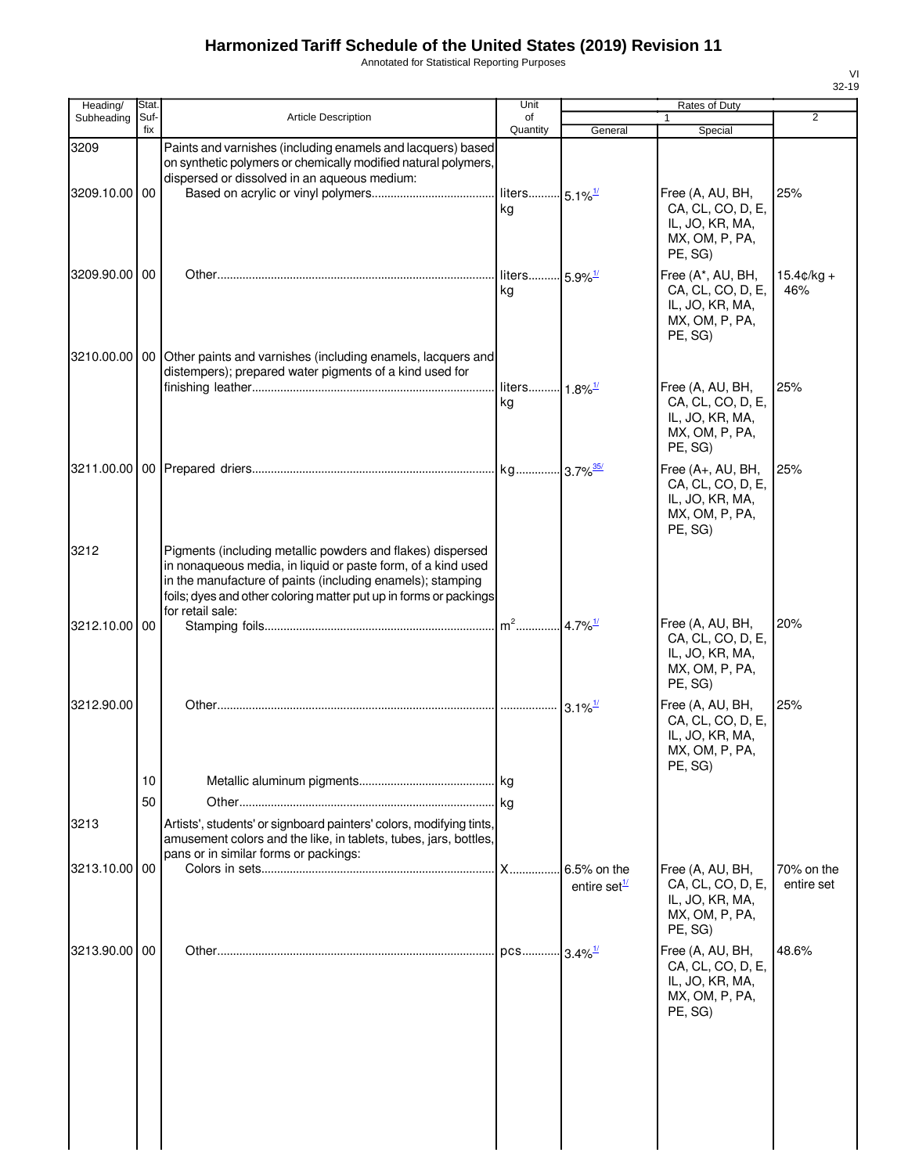Annotated for Statistical Reporting Purposes

| Heading/      | Stat.       |                                                                                                                                                                                                                                                                                   | Unit                            |                                    | Rates of Duty                                                                          |                             |
|---------------|-------------|-----------------------------------------------------------------------------------------------------------------------------------------------------------------------------------------------------------------------------------------------------------------------------------|---------------------------------|------------------------------------|----------------------------------------------------------------------------------------|-----------------------------|
| Subheading    | Suf-<br>fix | <b>Article Description</b>                                                                                                                                                                                                                                                        | of<br>Quantity                  | General                            | 1<br>Special                                                                           | $\overline{2}$              |
| 3209          |             | Paints and varnishes (including enamels and lacquers) based<br>on synthetic polymers or chemically modified natural polymers,<br>dispersed or dissolved in an aqueous medium:                                                                                                     |                                 |                                    |                                                                                        |                             |
| 3209.10.00    | 00          |                                                                                                                                                                                                                                                                                   | liters 5.1% <sup>1/</sup><br>kg |                                    | Free (A, AU, BH,<br>CA, CL, CO, D, E,<br>IL, JO, KR, MA,<br>MX, OM, P, PA,<br>PE, SG)  | 25%                         |
| 3209.90.00 00 |             |                                                                                                                                                                                                                                                                                   | liters 5.9% <sup>1/</sup><br>kg |                                    | Free (A*, AU, BH,<br>CA, CL, CO, D, E,<br>IL, JO, KR, MA,<br>MX, OM, P, PA,<br>PE, SG) | $15.4 \text{c/kg} +$<br>46% |
| 3210.00.00    | 00 I        | Other paints and varnishes (including enamels, lacquers and<br>distempers); prepared water pigments of a kind used for                                                                                                                                                            | liters 1.8% <sup>1/</sup>       |                                    | Free (A, AU, BH,                                                                       | 25%                         |
|               |             |                                                                                                                                                                                                                                                                                   | kg                              |                                    | CA, CL, CO, D, E,<br>IL, JO, KR, MA,<br>MX, OM, P, PA,<br>PE, SG)                      |                             |
|               |             |                                                                                                                                                                                                                                                                                   |                                 |                                    | Free (A+, AU, BH,<br>CA, CL, CO, D, E,<br>IL, JO, KR, MA,<br>MX, OM, P, PA,<br>PE, SG) | 25%                         |
| 3212          |             | Pigments (including metallic powders and flakes) dispersed<br>in nonaqueous media, in liquid or paste form, of a kind used<br>in the manufacture of paints (including enamels); stamping<br>foils; dyes and other coloring matter put up in forms or packings<br>for retail sale: |                                 |                                    |                                                                                        |                             |
| 3212.10.00 00 |             |                                                                                                                                                                                                                                                                                   | $m^2$ 4.7% <sup>1/</sup>        |                                    | Free (A, AU, BH,<br>CA, CL, CO, D, E,<br>IL, JO, KR, MA,<br>MX, OM, P, PA,<br>PE, SG)  | 20%                         |
| 3212.90.00    |             |                                                                                                                                                                                                                                                                                   |                                 | $3.1\%$ <sup>1/</sup>              | Free (A, AU, BH,<br>CA, CL, CO, D, E,<br>IL, JO, KR, MA,<br>MX, OM, P, PA,<br>PE, SG)  | 25%                         |
|               | 10<br>50    |                                                                                                                                                                                                                                                                                   |                                 |                                    |                                                                                        |                             |
| 3213          |             | Artists', students' or signboard painters' colors, modifying tints,<br>amusement colors and the like, in tablets, tubes, jars, bottles,<br>pans or in similar forms or packings:                                                                                                  |                                 |                                    |                                                                                        |                             |
| 3213.10.00    | 00          |                                                                                                                                                                                                                                                                                   | $X$ <sub></sub>                 | 6.5% on the<br>entire set $^{1/2}$ | Free (A, AU, BH,<br>CA, CL, CO, D, E,<br>IL, JO, KR, MA,<br>MX, OM, P, PA,<br>PE, SG)  | 70% on the<br>entire set    |
| 3213.90.00 00 |             |                                                                                                                                                                                                                                                                                   | pcs                             | $3.4\%$ <sup>1/</sup>              | Free (A, AU, BH,<br>CA, CL, CO, D, E,<br>IL, JO, KR, MA,<br>MX, OM, P, PA,<br>PE, SG)  | 48.6%                       |
|               |             |                                                                                                                                                                                                                                                                                   |                                 |                                    |                                                                                        |                             |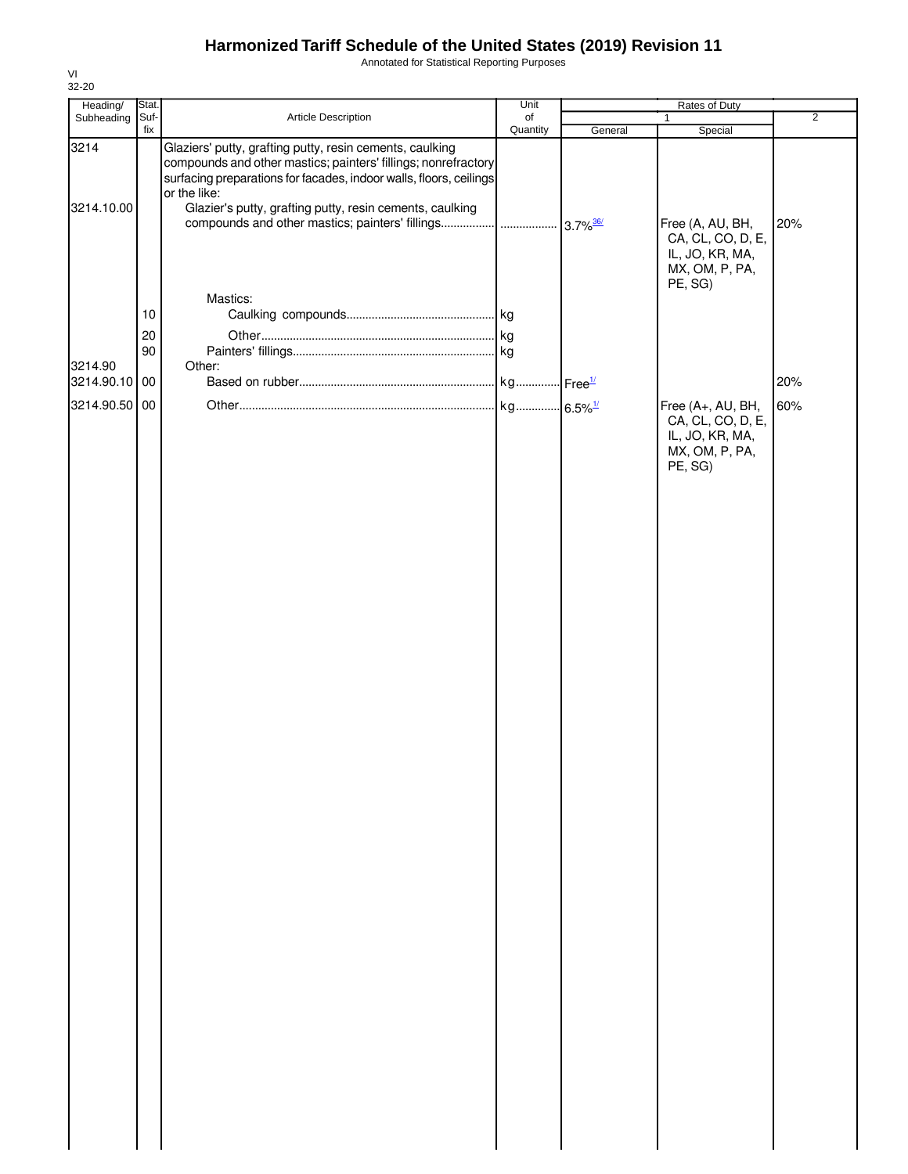Annotated for Statistical Reporting Purposes

| Heading/                 | Stat.          |                                                                                                                                                | Unit     | Rates of Duty              |                                                                                        |                |  |
|--------------------------|----------------|------------------------------------------------------------------------------------------------------------------------------------------------|----------|----------------------------|----------------------------------------------------------------------------------------|----------------|--|
| Subheading               | Suf-           | Article Description                                                                                                                            | of       |                            | $\mathbf{1}$                                                                           | $\overline{2}$ |  |
| 3214                     | fix            | Glaziers' putty, grafting putty, resin cements, caulking<br>compounds and other mastics; painters' fillings; nonrefractory                     | Quantity | General                    | Special                                                                                |                |  |
| 3214.10.00               |                | surfacing preparations for facades, indoor walls, floors, ceilings<br>or the like:<br>Glazier's putty, grafting putty, resin cements, caulking |          |                            | Free (A, AU, BH,<br>CA, CL, CO, D, E,<br>IL, JO, KR, MA,<br>MX, OM, P, PA,<br>PE, SG)  | 20%            |  |
|                          | $10$<br>$20\,$ | Mastics:                                                                                                                                       |          |                            |                                                                                        |                |  |
| 3214.90<br>3214.90.10 00 | 90             | Other:                                                                                                                                         | kg       | $\cdot$ Free $\frac{1}{2}$ |                                                                                        | 20%            |  |
| 3214.90.50 00            |                |                                                                                                                                                |          |                            | Free (A+, AU, BH,<br>CA, CL, CO, D, E,<br>IL, JO, KR, MA,<br>MX, OM, P, PA,<br>PE, SG) | 60%            |  |
|                          |                |                                                                                                                                                |          |                            |                                                                                        |                |  |
|                          |                |                                                                                                                                                |          |                            |                                                                                        |                |  |
|                          |                |                                                                                                                                                |          |                            |                                                                                        |                |  |
|                          |                |                                                                                                                                                |          |                            |                                                                                        |                |  |
|                          |                |                                                                                                                                                |          |                            |                                                                                        |                |  |
|                          |                |                                                                                                                                                |          |                            |                                                                                        |                |  |
|                          |                |                                                                                                                                                |          |                            |                                                                                        |                |  |
|                          |                |                                                                                                                                                |          |                            |                                                                                        |                |  |
|                          |                |                                                                                                                                                |          |                            |                                                                                        |                |  |
|                          |                |                                                                                                                                                |          |                            |                                                                                        |                |  |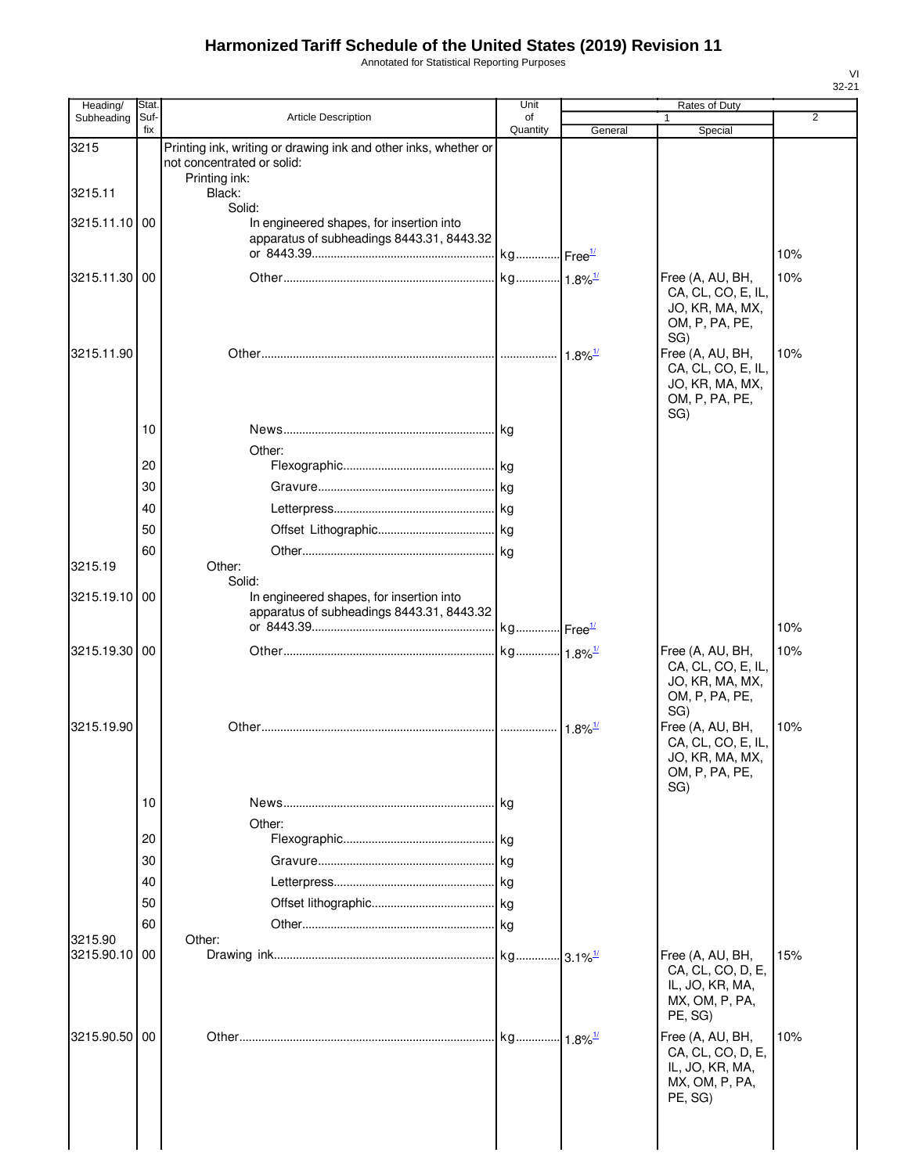Annotated for Statistical Reporting Purposes

| U.<br>., |  |
|----------|--|

| Heading/      | Stat.       |                                                                 | Unit                  |                        | Rates of Duty                         |                |
|---------------|-------------|-----------------------------------------------------------------|-----------------------|------------------------|---------------------------------------|----------------|
| Subheading    | Suf-<br>fix | <b>Article Description</b>                                      | of<br>Quantity        | General                | Special                               | $\overline{2}$ |
| 3215          |             | Printing ink, writing or drawing ink and other inks, whether or |                       |                        |                                       |                |
|               |             | not concentrated or solid:                                      |                       |                        |                                       |                |
| 3215.11       |             | Printing ink:<br>Black:                                         |                       |                        |                                       |                |
|               |             | Solid:                                                          |                       |                        |                                       |                |
| 3215.11.10 00 |             | In engineered shapes, for insertion into                        |                       |                        |                                       |                |
|               |             | apparatus of subheadings 8443.31, 8443.32                       |                       |                        |                                       |                |
|               |             |                                                                 | kg Free <sup>1/</sup> |                        |                                       | 10%            |
| 3215.11.30 00 |             |                                                                 | kg 1.8% <sup>1/</sup> |                        | Free (A, AU, BH,                      | 10%            |
|               |             |                                                                 |                       |                        | CA, CL, CO, E, IL,                    |                |
|               |             |                                                                 |                       |                        | JO, KR, MA, MX,<br>OM, P, PA, PE,     |                |
|               |             |                                                                 |                       |                        | SG)                                   |                |
| 3215.11.90    |             |                                                                 |                       |                        | Free (A, AU, BH,                      | 10%            |
|               |             |                                                                 |                       |                        | CA, CL, CO, E, IL,<br>JO, KR, MA, MX, |                |
|               |             |                                                                 |                       |                        | OM, P, PA, PE,                        |                |
|               |             |                                                                 |                       |                        | SG)                                   |                |
|               | 10          |                                                                 |                       |                        |                                       |                |
|               |             | Other:                                                          |                       |                        |                                       |                |
|               | 20          |                                                                 |                       |                        |                                       |                |
|               | 30          |                                                                 |                       |                        |                                       |                |
|               | 40          |                                                                 |                       |                        |                                       |                |
|               | 50          |                                                                 |                       |                        |                                       |                |
|               | 60          |                                                                 |                       |                        |                                       |                |
| 3215.19       |             | Other:<br>Solid:                                                |                       |                        |                                       |                |
| 3215.19.10 00 |             | In engineered shapes, for insertion into                        |                       |                        |                                       |                |
|               |             | apparatus of subheadings 8443.31, 8443.32                       |                       |                        |                                       |                |
|               |             |                                                                 | kg Free <sup>1/</sup> |                        |                                       | 10%            |
| 3215.19.30 00 |             |                                                                 | kg 1.8% <sup>1/</sup> |                        | Free (A, AU, BH,                      | 10%            |
|               |             |                                                                 |                       |                        | CA, CL, CO, E, IL,                    |                |
|               |             |                                                                 |                       |                        | JO, KR, MA, MX,<br>OM, P, PA, PE,     |                |
|               |             |                                                                 |                       |                        | SG)                                   |                |
| 3215.19.90    |             |                                                                 |                       | $1.8\%$ <sup>1/</sup>  | Free (A, AU, BH,                      | 10%            |
|               |             |                                                                 |                       |                        | CA, CL, CO, E, IL,<br>JO, KR, MA, MX, |                |
|               |             |                                                                 |                       |                        | OM, P, PA, PE,                        |                |
|               |             |                                                                 |                       |                        | SG)                                   |                |
|               | 10          |                                                                 | l kg                  |                        |                                       |                |
|               | 20          | Other:                                                          |                       |                        |                                       |                |
|               | 30          |                                                                 |                       |                        |                                       |                |
|               |             |                                                                 |                       |                        |                                       |                |
|               | 40          |                                                                 | kg                    |                        |                                       |                |
|               | 50          |                                                                 |                       |                        |                                       |                |
| 3215.90       | 60          | Other:                                                          |                       |                        |                                       |                |
| 3215.90.10 00 |             |                                                                 |                       | $-3.1\%$ <sup>1/</sup> | Free (A, AU, BH,                      | 15%            |
|               |             |                                                                 |                       |                        | CA, CL, CO, D, E,                     |                |
|               |             |                                                                 |                       |                        | IL, JO, KR, MA,<br>MX, OM, P, PA,     |                |
|               |             |                                                                 |                       |                        | PE, SG)                               |                |
| 3215.90.50 00 |             |                                                                 |                       | $1.8\%$ <sup>1/</sup>  | Free (A, AU, BH,                      | 10%            |
|               |             |                                                                 |                       |                        | CA, CL, CO, D, E,                     |                |
|               |             |                                                                 |                       |                        | IL, JO, KR, MA,                       |                |
|               |             |                                                                 |                       |                        | MX, OM, P, PA,<br>PE, SG)             |                |
|               |             |                                                                 |                       |                        |                                       |                |
|               |             |                                                                 |                       |                        |                                       |                |
|               |             |                                                                 |                       |                        |                                       |                |